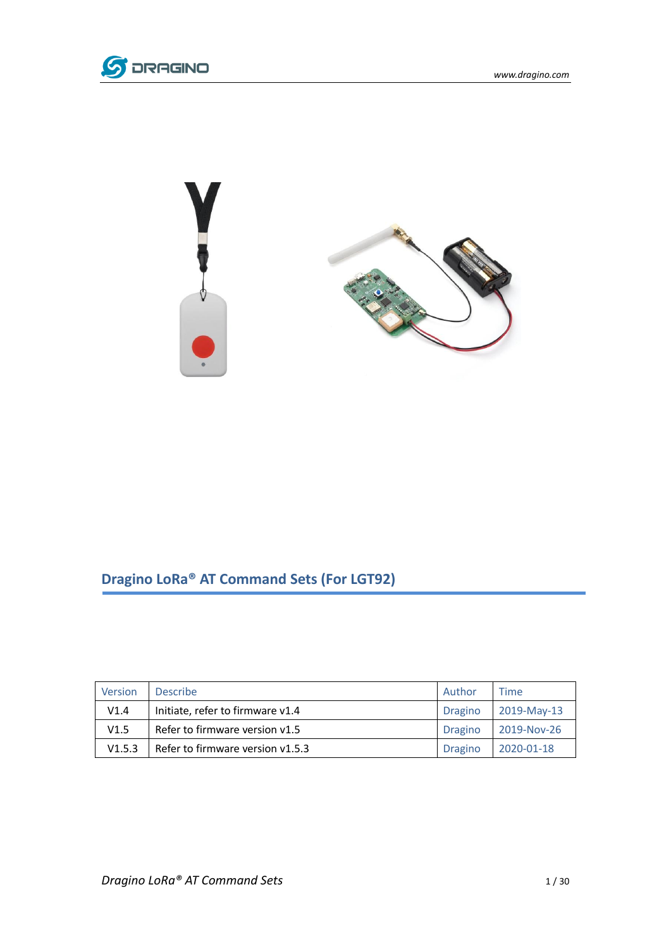



# **Dragino LoRa® AT Command Sets (For LGT92)**

| Version | <b>Describe</b>                  | Author         | <b>Time</b> |
|---------|----------------------------------|----------------|-------------|
| V1.4    | Initiate, refer to firmware v1.4 | <b>Dragino</b> | 2019-May-13 |
| V1.5    | Refer to firmware version v1.5   | <b>Dragino</b> | 2019-Nov-26 |
| V1.5.3  | Refer to firmware version v1.5.3 | <b>Dragino</b> | 2020-01-18  |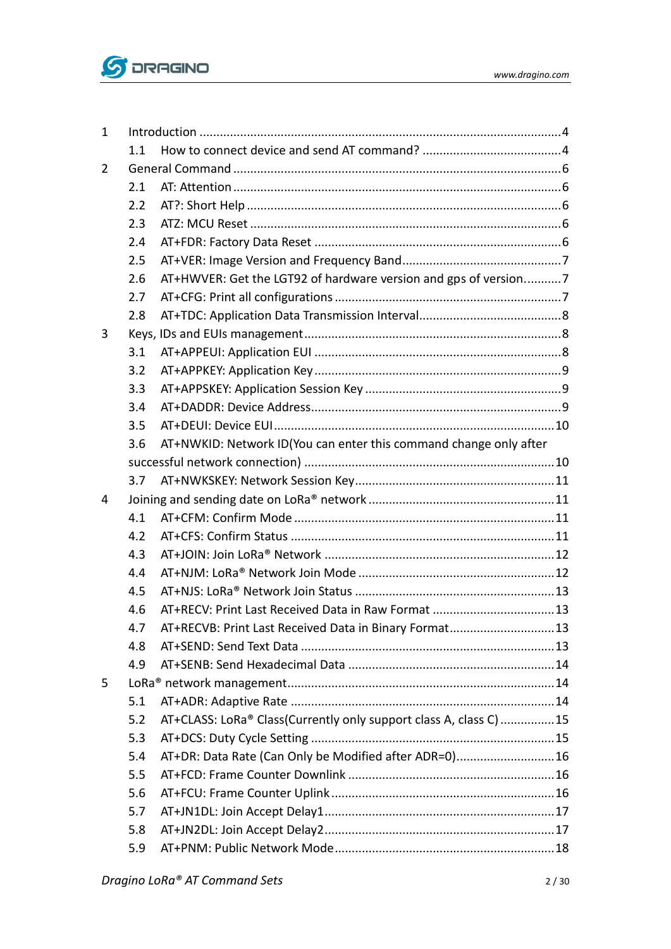

| $\mathbf{1}$ |     |                                                                   |  |
|--------------|-----|-------------------------------------------------------------------|--|
|              | 1.1 |                                                                   |  |
| 2            |     |                                                                   |  |
|              | 2.1 |                                                                   |  |
|              | 2.2 |                                                                   |  |
|              | 2.3 |                                                                   |  |
|              | 2.4 |                                                                   |  |
|              | 2.5 |                                                                   |  |
|              | 2.6 | AT+HWVER: Get the LGT92 of hardware version and gps of version7   |  |
|              | 2.7 |                                                                   |  |
|              | 2.8 |                                                                   |  |
| 3            |     |                                                                   |  |
|              | 3.1 |                                                                   |  |
|              | 3.2 |                                                                   |  |
|              | 3.3 |                                                                   |  |
|              | 3.4 |                                                                   |  |
|              | 3.5 |                                                                   |  |
|              | 3.6 | AT+NWKID: Network ID(You can enter this command change only after |  |
|              |     |                                                                   |  |
|              | 3.7 |                                                                   |  |
| 4            |     |                                                                   |  |
|              | 4.1 |                                                                   |  |
|              | 4.2 |                                                                   |  |
|              | 4.3 |                                                                   |  |
|              | 4.4 |                                                                   |  |
|              | 4.5 |                                                                   |  |
|              | 4.6 |                                                                   |  |
|              | 4.7 | AT+RECVB: Print Last Received Data in Binary Format 13            |  |
|              | 4.8 |                                                                   |  |
|              | 4.9 |                                                                   |  |
| 5            |     |                                                                   |  |
|              | 5.1 |                                                                   |  |
|              | 5.2 | AT+CLASS: LoRa® Class(Currently only support class A, class C) 15 |  |
|              | 5.3 |                                                                   |  |
|              | 5.4 | AT+DR: Data Rate (Can Only be Modified after ADR=0)16             |  |
|              | 5.5 |                                                                   |  |
|              | 5.6 |                                                                   |  |
|              | 5.7 |                                                                   |  |
|              | 5.8 |                                                                   |  |
|              | 5.9 |                                                                   |  |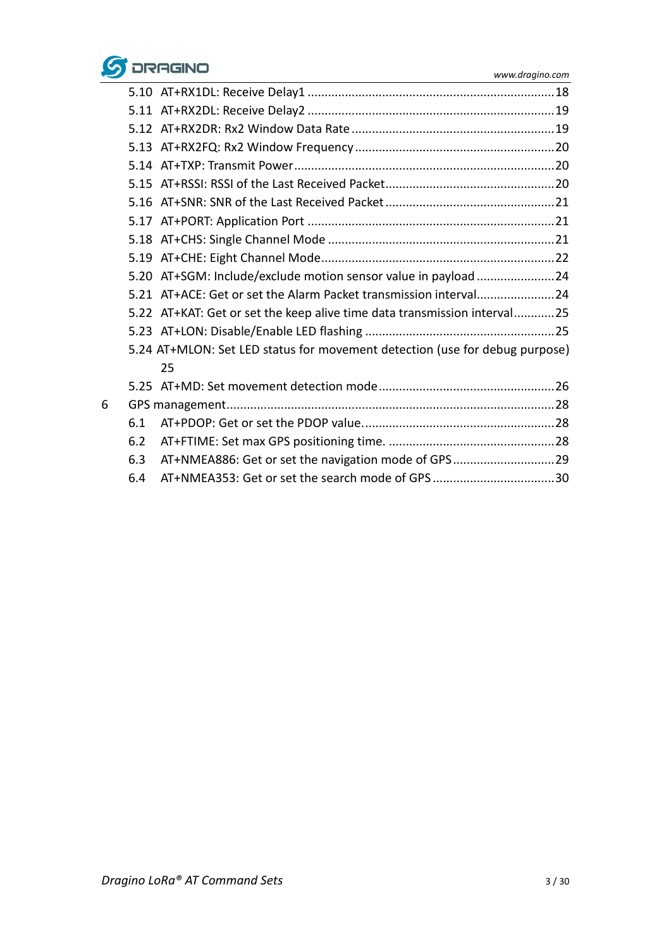

|   |     | 5.20 AT+SGM: Include/exclude motion sensor value in payload 24              |  |
|---|-----|-----------------------------------------------------------------------------|--|
|   |     | 5.21 AT+ACE: Get or set the Alarm Packet transmission interval24            |  |
|   |     | 5.22 AT+KAT: Get or set the keep alive time data transmission interval25    |  |
|   |     |                                                                             |  |
|   |     | 5.24 AT+MLON: Set LED status for movement detection (use for debug purpose) |  |
|   |     | 25                                                                          |  |
|   |     |                                                                             |  |
| 6 |     |                                                                             |  |
|   | 6.1 |                                                                             |  |
|   | 6.2 |                                                                             |  |
|   | 6.3 | AT+NMEA886: Get or set the navigation mode of GPS 29                        |  |
|   | 6.4 |                                                                             |  |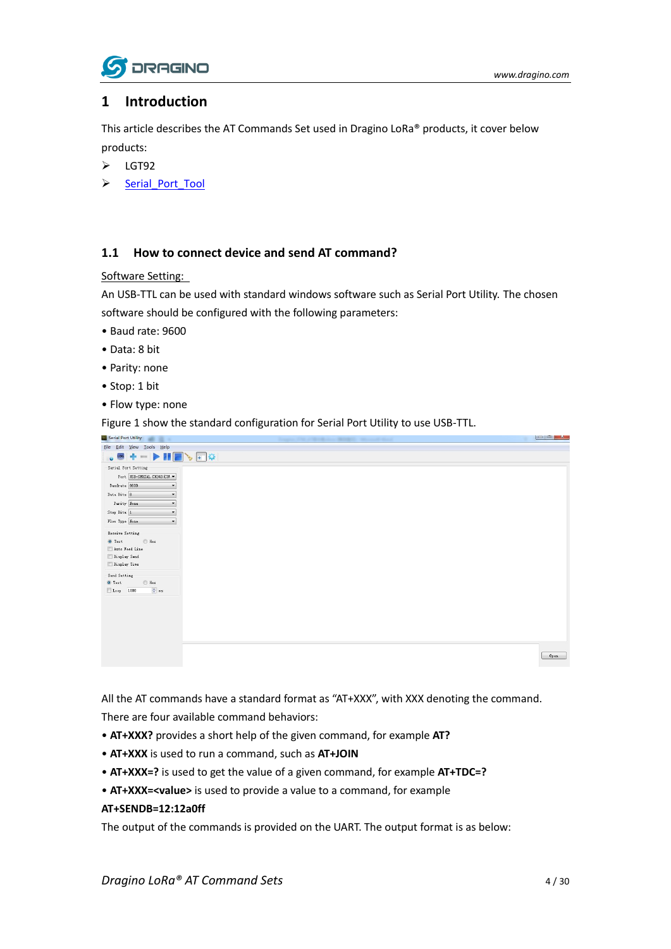

### <span id="page-3-0"></span>**1 Introduction**

This article describes the AT Commands Set used in Dragino LoRa® products, it cover below products:

- > LGT92
- > Serial Port Tool

#### <span id="page-3-1"></span>**1.1 How to connect device and send AT command?**

#### Software Setting:

An USB-TTL can be used with standard windows software such as Serial Port Utility. The chosen software should be configured with the following parameters:

- Baud rate: 9600
- Data: 8 bit
- Parity: none
- Stop: 1 bit
- Flow type: none

Figure 1 show the standard configuration for Serial Port Utility to use USB-TTL.



All the AT commands have a standard format as "AT+XXX", with XXX denoting the command. There are four available command behaviors:

- **AT+XXX?** provides a short help of the given command, for example **AT?**
- **AT+XXX** is used to run a command, such as **AT+JOIN**
- **AT+XXX=?** is used to get the value of a given command, for example **AT+TDC=?**
- **AT+XXX=<value>** is used to provide a value to a command, for example

#### **AT+SENDB=12:12a0ff**

The output of the commands is provided on the UART. The output format is as below: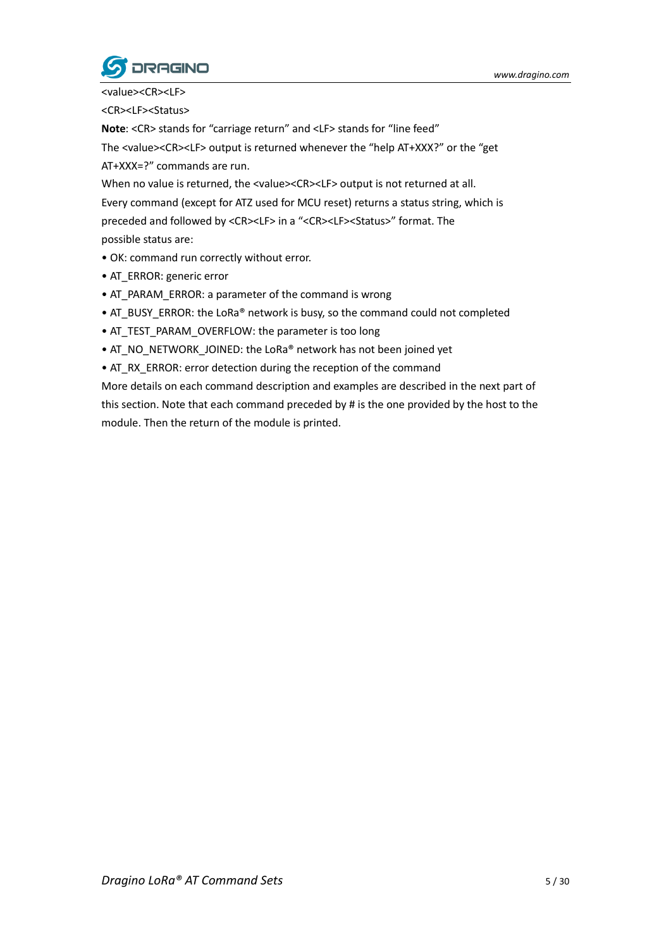

<value><CR><LF> <CR><LF><Status>

**Note**: <CR> stands for "carriage return" and <LF> stands for "line feed" The <value><CR><LF> output is returned whenever the "help AT+XXX?" or the "get AT+XXX=?" commands are run.

When no value is returned, the <value><CR><LF> output is not returned at all. Every command (except for ATZ used for MCU reset) returns a status string, which is preceded and followed by <CR><LF> in a "<CR><LF><Status>" format. The possible status are:

- OK: command run correctly without error.
- AT\_ERROR: generic error
- AT\_PARAM\_ERROR: a parameter of the command is wrong
- AT\_BUSY\_ERROR: the LoRa® network is busy, so the command could not completed
- AT\_TEST\_PARAM\_OVERFLOW: the parameter is too long
- AT\_NO\_NETWORK\_JOINED: the LoRa® network has not been joined yet
- AT\_RX\_ERROR: error detection during the reception of the command

More details on each command description and examples are described in the next part of this section. Note that each command preceded by # is the one provided by the host to the module. Then the return of the module is printed.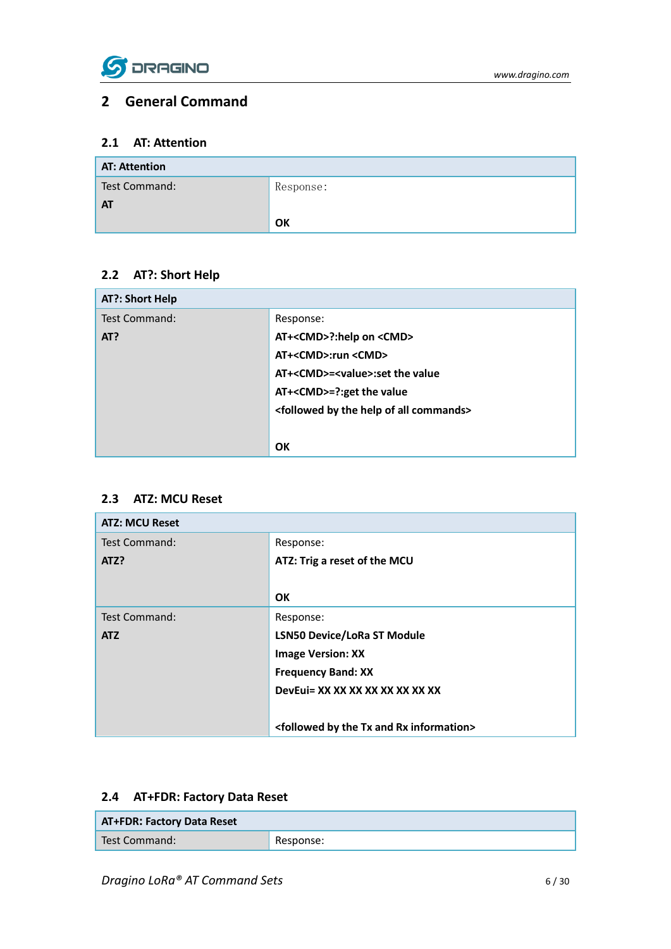

### <span id="page-5-0"></span>**2 General Command**

### <span id="page-5-1"></span>**2.1 AT: Attention**

| <b>AT: Attention</b> |           |
|----------------------|-----------|
| Test Command:        | Response: |
| <b>AT</b>            |           |
|                      | OK        |

### <span id="page-5-2"></span>**2.2 AT?: Short Help**

| AT?: Short Help      |                                                                     |
|----------------------|---------------------------------------------------------------------|
| <b>Test Command:</b> | Response:                                                           |
| AT?                  | AT+ <cmd>?:help on <cmd></cmd></cmd>                                |
|                      | AT+ <cmd>:run <cmd></cmd></cmd>                                     |
|                      | AT+ <cmd>=<value>:set the value</value></cmd>                       |
|                      | AT+ <cmd>=?:get the value</cmd>                                     |
|                      | <followed all="" by="" commands="" help="" of="" the=""></followed> |
|                      |                                                                     |
|                      | OK                                                                  |

#### <span id="page-5-3"></span>**2.3 ATZ: MCU Reset**

| <b>ATZ: MCU Reset</b> |                                                                      |
|-----------------------|----------------------------------------------------------------------|
| Test Command:         | Response:                                                            |
| ATZ?                  | ATZ: Trig a reset of the MCU                                         |
|                       |                                                                      |
|                       | OK.                                                                  |
| Test Command:         | Response:                                                            |
| <b>ATZ</b>            | <b>LSN50 Device/LoRa ST Module</b>                                   |
|                       | <b>Image Version: XX</b>                                             |
|                       | <b>Frequency Band: XX</b>                                            |
|                       | DevEui= XX XX XX XX XX XX XX XX                                      |
|                       |                                                                      |
|                       | <followed and="" by="" information="" rx="" the="" tx=""></followed> |

### <span id="page-5-4"></span>**2.4 AT+FDR: Factory Data Reset**

| <b>AT+FDR: Factory Data Reset</b> |           |
|-----------------------------------|-----------|
| Test Command:                     | Response: |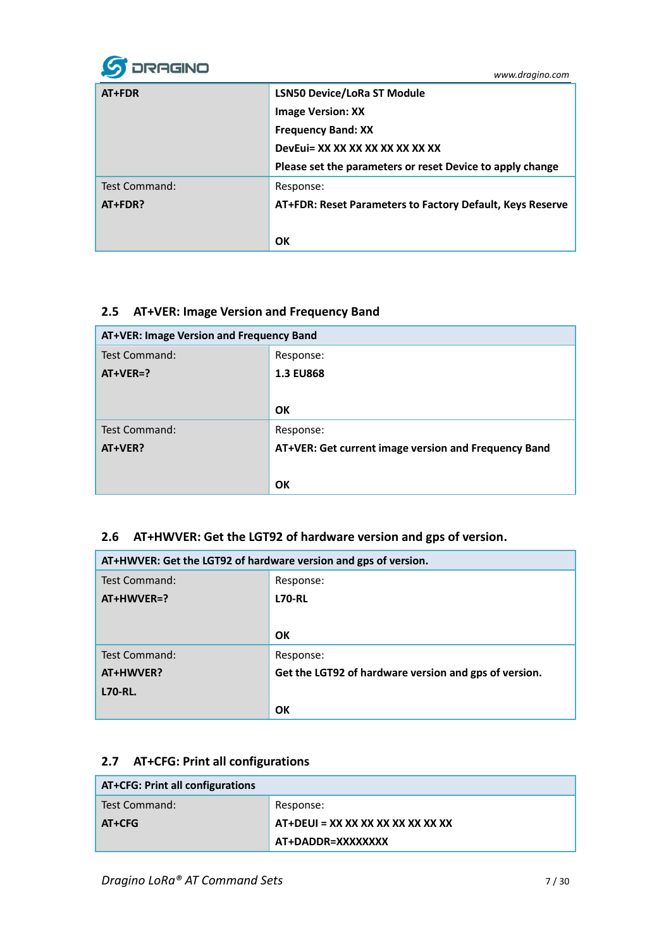

| AT+FDR        | <b>LSN50 Device/LoRa ST Module</b>                        |
|---------------|-----------------------------------------------------------|
|               | <b>Image Version: XX</b>                                  |
|               | <b>Frequency Band: XX</b>                                 |
|               | DevEui= XX XX XX XX XX XX XX XX                           |
|               | Please set the parameters or reset Device to apply change |
| Test Command: | Response:                                                 |
| AT+FDR?       | AT+FDR: Reset Parameters to Factory Default, Keys Reserve |
|               |                                                           |
|               | OK                                                        |

### <span id="page-6-0"></span>**2.5 AT+VER: Image Version and Frequency Band**

| AT+VER: Image Version and Frequency Band |                                                      |
|------------------------------------------|------------------------------------------------------|
| Test Command:                            | Response:                                            |
| $AT+VER=?$                               | <b>1.3 EU868</b>                                     |
|                                          |                                                      |
|                                          | OK                                                   |
| Test Command:                            | Response:                                            |
| AT+VER?                                  | AT+VER: Get current image version and Frequency Band |
|                                          |                                                      |
|                                          | OK                                                   |

### <span id="page-6-1"></span>**2.6 AT+HWVER: Get the LGT92 of hardware version and gps of version.**

| AT+HWVER: Get the LGT92 of hardware version and gps of version. |                                                       |
|-----------------------------------------------------------------|-------------------------------------------------------|
| <b>Test Command:</b>                                            | Response:                                             |
| AT+HWVER=?                                                      | <b>L70-RL</b>                                         |
|                                                                 |                                                       |
|                                                                 | OK                                                    |
| <b>Test Command:</b>                                            | Response:                                             |
| AT+HWVER?                                                       | Get the LGT92 of hardware version and gps of version. |
| <b>L70-RL.</b>                                                  |                                                       |
|                                                                 | ΟK                                                    |

### <span id="page-6-2"></span>**2.7 AT+CFG: Print all configurations**

| <b>AT+CFG: Print all configurations</b> |                                   |
|-----------------------------------------|-----------------------------------|
| Test Command:                           | Response:                         |
| AT+CFG                                  | AT+DEUI = XX XX XX XX XX XX XX XX |
|                                         | AT+DADDR=XXXXXXXX                 |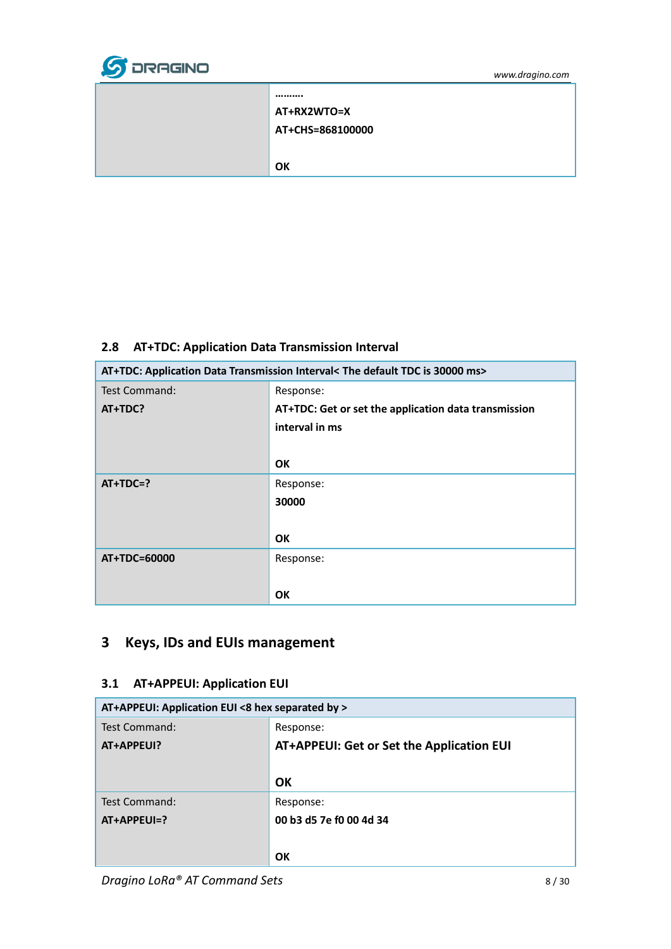

| AT+RX2WTO=X      |
|------------------|
| AT+CHS=868100000 |
|                  |
| ΩК               |

### <span id="page-7-0"></span>**2.8 AT+TDC: Application Data Transmission Interval**

| AT+TDC: Application Data Transmission Interval< The default TDC is 30000 ms> |                                                      |
|------------------------------------------------------------------------------|------------------------------------------------------|
| Test Command:                                                                | Response:                                            |
| AT+TDC?                                                                      | AT+TDC: Get or set the application data transmission |
|                                                                              | interval in ms                                       |
|                                                                              |                                                      |
|                                                                              | <b>OK</b>                                            |
| $AT+TDC=?$                                                                   | Response:                                            |
|                                                                              | 30000                                                |
|                                                                              |                                                      |
|                                                                              | <b>OK</b>                                            |
| AT+TDC=60000                                                                 | Response:                                            |
|                                                                              |                                                      |
|                                                                              | <b>OK</b>                                            |

# <span id="page-7-1"></span>**3 Keys, IDs and EUIs management**

### <span id="page-7-2"></span>**3.1 AT+APPEUI: Application EUI**

| AT+APPEUI: Application EUI <8 hex separated by > |                                           |
|--------------------------------------------------|-------------------------------------------|
| Test Command:                                    | Response:                                 |
| AT+APPEUI?                                       | AT+APPEUI: Get or Set the Application EUI |
|                                                  |                                           |
|                                                  | OK                                        |
| Test Command:                                    | Response:                                 |
| $AT+APPEUI=?$                                    | 00 b3 d5 7e f0 00 4d 34                   |
|                                                  |                                           |
|                                                  | OK                                        |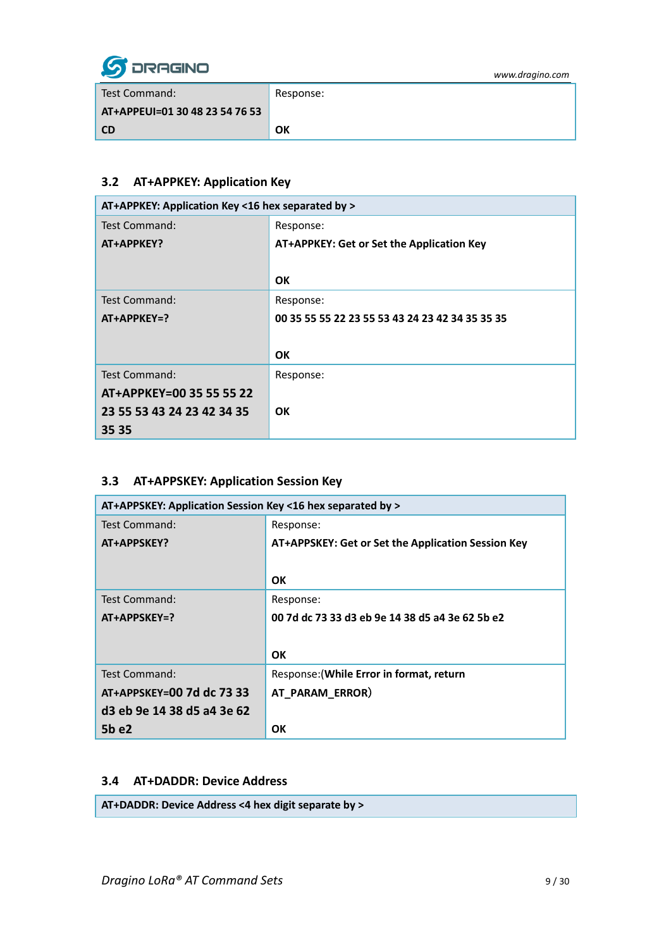

| www.dragino.com |  |  |
|-----------------|--|--|
|                 |  |  |

| Test Command:                  | Response: |
|--------------------------------|-----------|
| AT+APPEUI=01 30 48 23 54 76 53 |           |
| <b>CD</b>                      | OK        |

### <span id="page-8-0"></span>**3.2 AT+APPKEY: Application Key**

| AT+APPKEY: Application Key <16 hex separated by > |                                                 |
|---------------------------------------------------|-------------------------------------------------|
| Test Command:                                     | Response:                                       |
| AT+APPKEY?                                        | AT+APPKEY: Get or Set the Application Key       |
|                                                   |                                                 |
|                                                   | <b>OK</b>                                       |
| Test Command:                                     | Response:                                       |
| AT+APPKEY=?                                       | 00 35 55 55 22 23 55 53 43 24 23 42 34 35 35 35 |
|                                                   |                                                 |
|                                                   | OK                                              |
| Test Command:                                     | Response:                                       |
| AT+APPKEY=00 35 55 55 22                          |                                                 |
| 23 55 53 43 24 23 42 34 35                        | <b>OK</b>                                       |
| 35 35                                             |                                                 |

### <span id="page-8-1"></span>**3.3 AT+APPSKEY: Application Session Key**

| AT+APPSKEY: Application Session Key <16 hex separated by > |                                                    |
|------------------------------------------------------------|----------------------------------------------------|
| Test Command:                                              | Response:                                          |
| AT+APPSKEY?                                                | AT+APPSKEY: Get or Set the Application Session Key |
|                                                            |                                                    |
|                                                            | <b>OK</b>                                          |
| Test Command:                                              | Response:                                          |
| AT+APPSKEY=?                                               | 00 7d dc 73 33 d3 eb 9e 14 38 d5 a4 3e 62 5b e2    |
|                                                            |                                                    |
|                                                            | ΟK                                                 |
| Test Command:                                              | Response: (While Error in format, return           |
| AT+APPSKEY=00 7d dc 73 33                                  | AT PARAM ERROR)                                    |
| d3 eb 9e 14 38 d5 a4 3e 62                                 |                                                    |
| 5b e2                                                      | OK                                                 |

#### <span id="page-8-2"></span>**3.4 AT+DADDR: Device Address**

**AT+DADDR: Device Address <4 hex digit separate by >**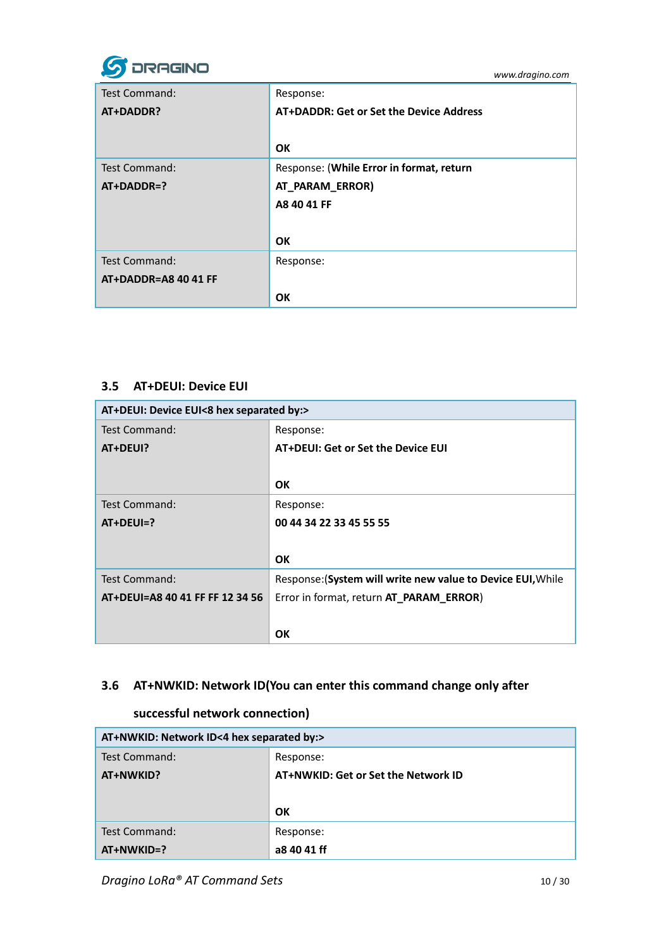

| Test Command:        | Response:                                |
|----------------------|------------------------------------------|
| AT+DADDR?            | AT+DADDR: Get or Set the Device Address  |
|                      |                                          |
|                      | OK                                       |
| <b>Test Command:</b> | Response: (While Error in format, return |
| $AT+DADDR=?$         | AT_PARAM_ERROR)                          |
|                      | A8 40 41 FF                              |
|                      |                                          |
|                      | OK                                       |
| <b>Test Command:</b> | Response:                                |
| AT+DADDR=A8 40 41 FF |                                          |
|                      | <b>OK</b>                                |

#### <span id="page-9-0"></span>**3.5 AT+DEUI: Device EUI**

| AT+DEUI: Device EUI<8 hex separated by:> |                                                             |
|------------------------------------------|-------------------------------------------------------------|
| Test Command:                            | Response:                                                   |
| AT+DEUI?                                 | AT+DEUI: Get or Set the Device EUI                          |
|                                          |                                                             |
|                                          | <b>OK</b>                                                   |
| Test Command:                            | Response:                                                   |
| $AT+DEUI=?$                              | 00 44 34 22 33 45 55 55                                     |
|                                          |                                                             |
|                                          | <b>OK</b>                                                   |
| Test Command:                            | Response: (System will write new value to Device EUI, While |
| AT+DEUI=A8 40 41 FF FF 12 34 56          | Error in format, return AT_PARAM_ERROR)                     |
|                                          |                                                             |
|                                          | OK                                                          |

### <span id="page-9-1"></span>**3.6 AT+NWKID: Network ID(You can enter this command change only after**

### **successful network connection)**

| AT+NWKID: Network ID<4 hex separated by:> |                                     |
|-------------------------------------------|-------------------------------------|
| Test Command:                             | Response:                           |
| AT+NWKID?                                 | AT+NWKID: Get or Set the Network ID |
|                                           |                                     |
|                                           | OK                                  |
| Test Command:                             | Response:                           |
| $AT+NWKID=?$                              | a8 40 41 ff                         |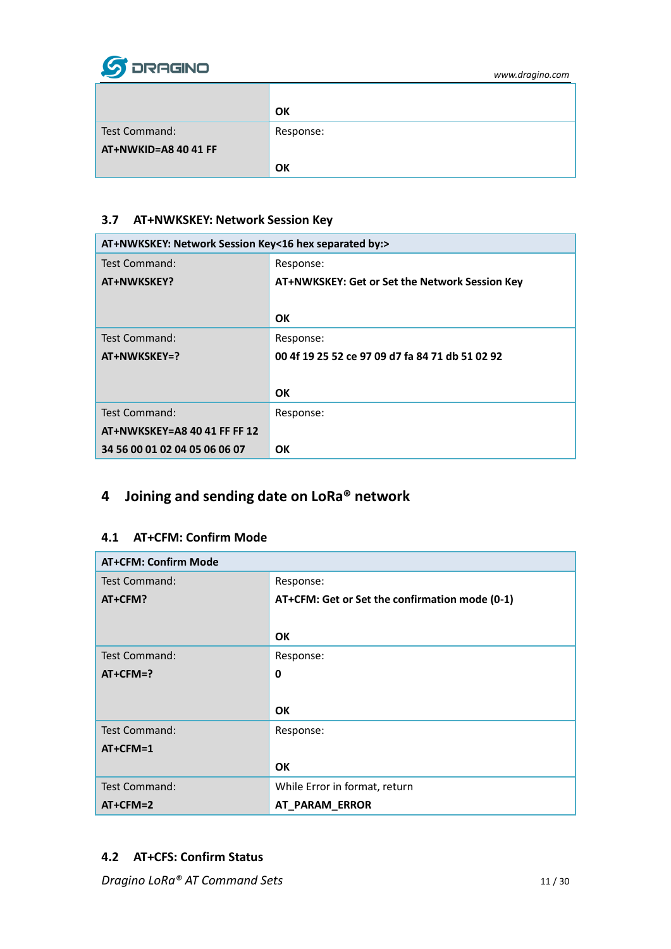

|                      | OK        |
|----------------------|-----------|
| Test Command:        | Response: |
| AT+NWKID=A8 40 41 FF |           |
|                      | OK        |

#### <span id="page-10-0"></span>**3.7 AT+NWKSKEY: Network Session Key**

| AT+NWKSKEY: Network Session Key<16 hex separated by:> |                                                 |
|-------------------------------------------------------|-------------------------------------------------|
| Test Command:                                         | Response:                                       |
| AT+NWKSKEY?                                           | AT+NWKSKEY: Get or Set the Network Session Key  |
|                                                       |                                                 |
|                                                       | <b>OK</b>                                       |
| Test Command:                                         | Response:                                       |
| AT+NWKSKEY=?                                          | 00 4f 19 25 52 ce 97 09 d7 fa 84 71 db 51 02 92 |
|                                                       |                                                 |
|                                                       | <b>OK</b>                                       |
| Test Command:                                         | Response:                                       |
| AT+NWKSKEY=A8 40 41 FF FF 12                          |                                                 |
| 34 56 00 01 02 04 05 06 06 07                         | <b>OK</b>                                       |

# <span id="page-10-1"></span>**4 Joining and sending date on LoRa® network**

#### <span id="page-10-2"></span>**4.1 AT+CFM: Confirm Mode**

| <b>AT+CFM: Confirm Mode</b> |                                                |
|-----------------------------|------------------------------------------------|
| <b>Test Command:</b>        | Response:                                      |
| AT+CFM?                     | AT+CFM: Get or Set the confirmation mode (0-1) |
|                             |                                                |
|                             | <b>OK</b>                                      |
| <b>Test Command:</b>        | Response:                                      |
| $AT+CFM=?$                  | $\mathbf 0$                                    |
|                             |                                                |
|                             | <b>OK</b>                                      |
| <b>Test Command:</b>        | Response:                                      |
| $AT+CFM=1$                  |                                                |
|                             | <b>OK</b>                                      |
| <b>Test Command:</b>        | While Error in format, return                  |
| $AT+CFM=2$                  | AT_PARAM_ERROR                                 |

### <span id="page-10-3"></span>**4.2 AT+CFS: Confirm Status**

**Dragino LoRa® AT Command Sets** 11/30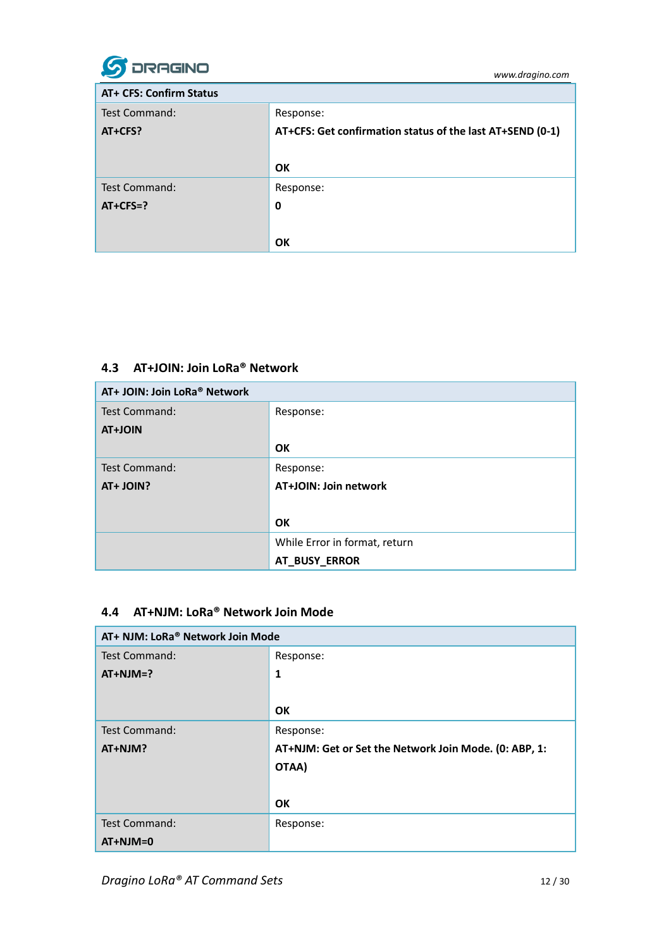

| <b>AT+ CFS: Confirm Status</b> |                                                           |
|--------------------------------|-----------------------------------------------------------|
| Test Command:                  | Response:                                                 |
| AT+CFS?                        | AT+CFS: Get confirmation status of the last AT+SEND (0-1) |
|                                |                                                           |
|                                | OK                                                        |
| Test Command:                  | Response:                                                 |
| $AT+CFS=?$                     | 0                                                         |
|                                |                                                           |
|                                | OK                                                        |

### <span id="page-11-0"></span>**4.3 AT+JOIN: Join LoRa® Network**

| AT+ JOIN: Join LoRa <sup>®</sup> Network |                               |
|------------------------------------------|-------------------------------|
| Test Command:                            | Response:                     |
| <b>AT+JOIN</b>                           |                               |
|                                          | OK                            |
| Test Command:                            | Response:                     |
| AT+ JOIN?                                | AT+JOIN: Join network         |
|                                          |                               |
|                                          | OK                            |
|                                          | While Error in format, return |
|                                          | AT_BUSY_ERROR                 |

### <span id="page-11-1"></span>**4.4 AT+NJM: LoRa® Network Join Mode**

| AT+ NJM: LoRa® Network Join Mode |                                                       |
|----------------------------------|-------------------------------------------------------|
| <b>Test Command:</b>             | Response:                                             |
| $AT+NJM=?$                       | $\mathbf{1}$                                          |
|                                  |                                                       |
|                                  | <b>OK</b>                                             |
| <b>Test Command:</b>             | Response:                                             |
| AT+NJM?                          | AT+NJM: Get or Set the Network Join Mode. (0: ABP, 1: |
|                                  | OTAA)                                                 |
|                                  |                                                       |
|                                  | <b>OK</b>                                             |
| <b>Test Command:</b>             | Response:                                             |
| $AT+NJM=0$                       |                                                       |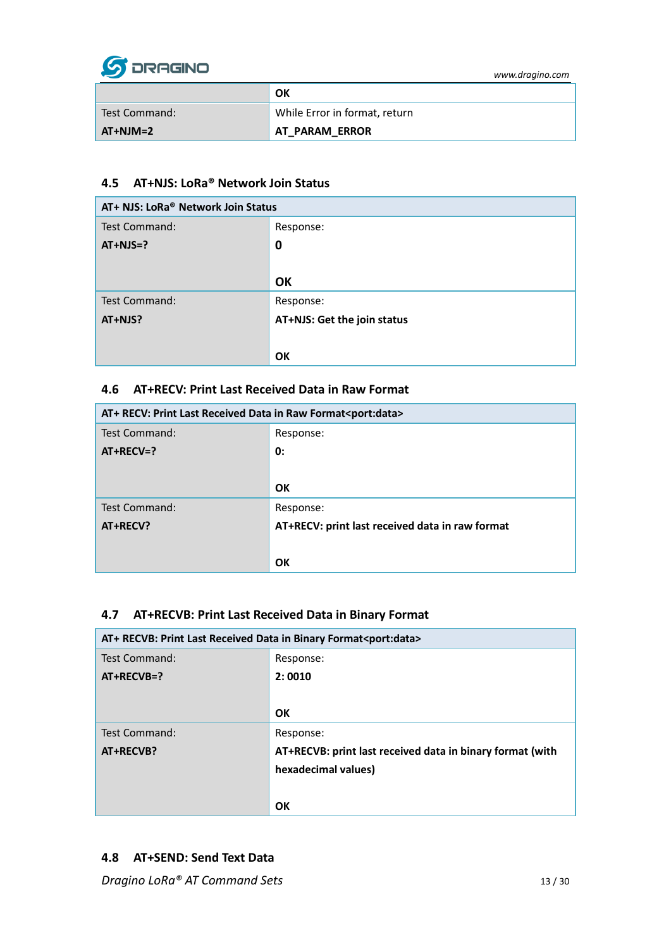

|               | OK                            |
|---------------|-------------------------------|
| Test Command: | While Error in format, return |
| $AT+NJM=2$    | <b>AT PARAM ERROR</b>         |

### <span id="page-12-0"></span>**4.5 AT+NJS: LoRa® Network Join Status**

| AT+ NJS: LoRa <sup>®</sup> Network Join Status |                             |
|------------------------------------------------|-----------------------------|
| Test Command:                                  | Response:                   |
| $AT+NJS=?$                                     | 0                           |
|                                                |                             |
|                                                | OK                          |
| Test Command:                                  | Response:                   |
| AT+NJS?                                        | AT+NJS: Get the join status |
|                                                |                             |
|                                                | OK                          |

#### <span id="page-12-1"></span>**4.6 AT+RECV: Print Last Received Data in Raw Format**

| AT+ RECV: Print Last Received Data in Raw Format <port:data></port:data> |                                                 |
|--------------------------------------------------------------------------|-------------------------------------------------|
| <b>Test Command:</b>                                                     | Response:                                       |
| $AT+RECV=?$                                                              | 0:                                              |
|                                                                          |                                                 |
|                                                                          | OK                                              |
| Test Command:                                                            | Response:                                       |
| AT+RECV?                                                                 | AT+RECV: print last received data in raw format |
|                                                                          |                                                 |
|                                                                          | OK                                              |

#### <span id="page-12-2"></span>**4.7 AT+RECVB: Print Last Received Data in Binary Format**

| AT+ RECVB: Print Last Received Data in Binary Format <port:data></port:data> |                                                           |
|------------------------------------------------------------------------------|-----------------------------------------------------------|
| Test Command:                                                                | Response:                                                 |
| $AT+RECVB=?$                                                                 | 2:0010                                                    |
|                                                                              |                                                           |
|                                                                              | OK                                                        |
| <b>Test Command:</b>                                                         | Response:                                                 |
| AT+RECVB?                                                                    | AT+RECVB: print last received data in binary format (with |
|                                                                              | hexadecimal values)                                       |
|                                                                              |                                                           |
|                                                                              | OK                                                        |

#### <span id="page-12-3"></span>**4.8 AT+SEND: Send Text Data**

**Dragino LoRa® AT Command Sets** 13 / 30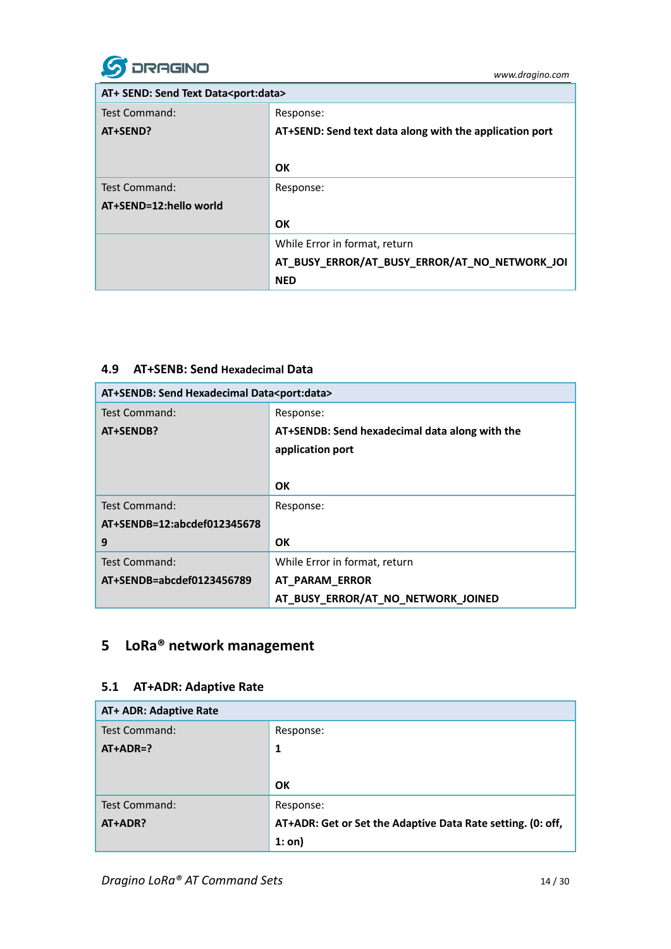

| AT+ SEND: Send Text Data <port:data></port:data> |                                                         |
|--------------------------------------------------|---------------------------------------------------------|
| Test Command:                                    | Response:                                               |
| AT+SEND?                                         | AT+SEND: Send text data along with the application port |
|                                                  |                                                         |
|                                                  | OK                                                      |
| Test Command:                                    | Response:                                               |
| AT+SEND=12:hello world                           |                                                         |
|                                                  | OK                                                      |
|                                                  | While Error in format, return                           |
|                                                  | AT_BUSY_ERROR/AT_BUSY_ERROR/AT_NO_NETWORK_JOI           |
|                                                  | <b>NED</b>                                              |

#### <span id="page-13-0"></span>**4.9 AT+SENB: Send Hexadecimal Data**

| AT+SENDB: Send Hexadecimal Data <port:data></port:data> |                                                |
|---------------------------------------------------------|------------------------------------------------|
| Test Command:                                           | Response:                                      |
| AT+SENDB?                                               | AT+SENDB: Send hexadecimal data along with the |
|                                                         | application port                               |
|                                                         |                                                |
|                                                         | OK                                             |
| Test Command:                                           | Response:                                      |
| AT+SENDB=12:abcdef012345678                             |                                                |
| 9                                                       | OK                                             |
| Test Command:                                           | While Error in format, return                  |
| AT+SENDB=abcdef0123456789                               | AT_PARAM_ERROR                                 |
|                                                         | AT_BUSY_ERROR/AT_NO_NETWORK_JOINED             |

# <span id="page-13-1"></span>**5 LoRa® network management**

#### <span id="page-13-2"></span>**5.1 AT+ADR: Adaptive Rate**

| AT+ ADR: Adaptive Rate |                                                             |
|------------------------|-------------------------------------------------------------|
| Test Command:          | Response:                                                   |
| $AT+ADR=?$             | 1                                                           |
|                        |                                                             |
|                        |                                                             |
|                        | OK                                                          |
| <b>Test Command:</b>   | Response:                                                   |
| AT+ADR?                | AT+ADR: Get or Set the Adaptive Data Rate setting. (0: off, |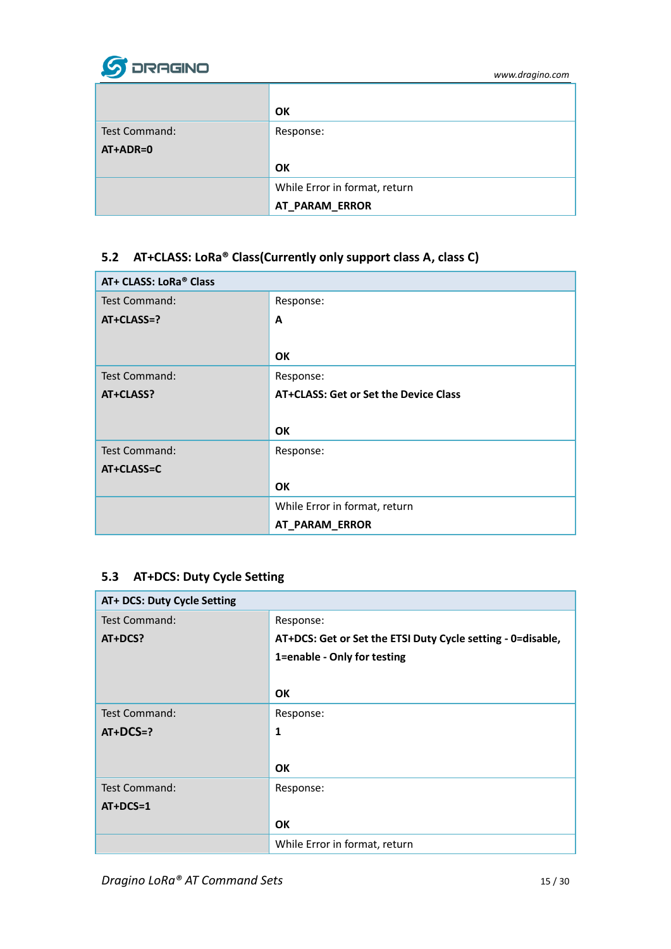

|               | OK                            |
|---------------|-------------------------------|
| Test Command: | Response:                     |
| AT+ADR=0      |                               |
|               | OK                            |
|               | While Error in format, return |
|               | AT_PARAM_ERROR                |

### <span id="page-14-0"></span>**5.2 AT+CLASS: LoRa® Class(Currently only support class A, class C)**

| AT+ CLASS: LoRa® Class |                                       |
|------------------------|---------------------------------------|
| Test Command:          | Response:                             |
| $AT+CLASS=?$           | A                                     |
|                        |                                       |
|                        | <b>OK</b>                             |
| Test Command:          | Response:                             |
| AT+CLASS?              | AT+CLASS: Get or Set the Device Class |
|                        |                                       |
|                        | OK                                    |
| <b>Test Command:</b>   | Response:                             |
| AT+CLASS=C             |                                       |
|                        | OK                                    |
|                        | While Error in format, return         |
|                        | AT_PARAM_ERROR                        |

### <span id="page-14-1"></span>**5.3 AT+DCS: Duty Cycle Setting**

| AT+ DCS: Duty Cycle Setting |                                                             |
|-----------------------------|-------------------------------------------------------------|
| Test Command:               | Response:                                                   |
| AT+DCS?                     | AT+DCS: Get or Set the ETSI Duty Cycle setting - 0=disable, |
|                             | 1=enable - Only for testing                                 |
|                             |                                                             |
|                             | <b>OK</b>                                                   |
| <b>Test Command:</b>        | Response:                                                   |
| $AT+DCS=?$                  | $\mathbf{1}$                                                |
|                             |                                                             |
|                             | <b>OK</b>                                                   |
| Test Command:               | Response:                                                   |
| $AT+DCS=1$                  |                                                             |
|                             | <b>OK</b>                                                   |
|                             | While Error in format, return                               |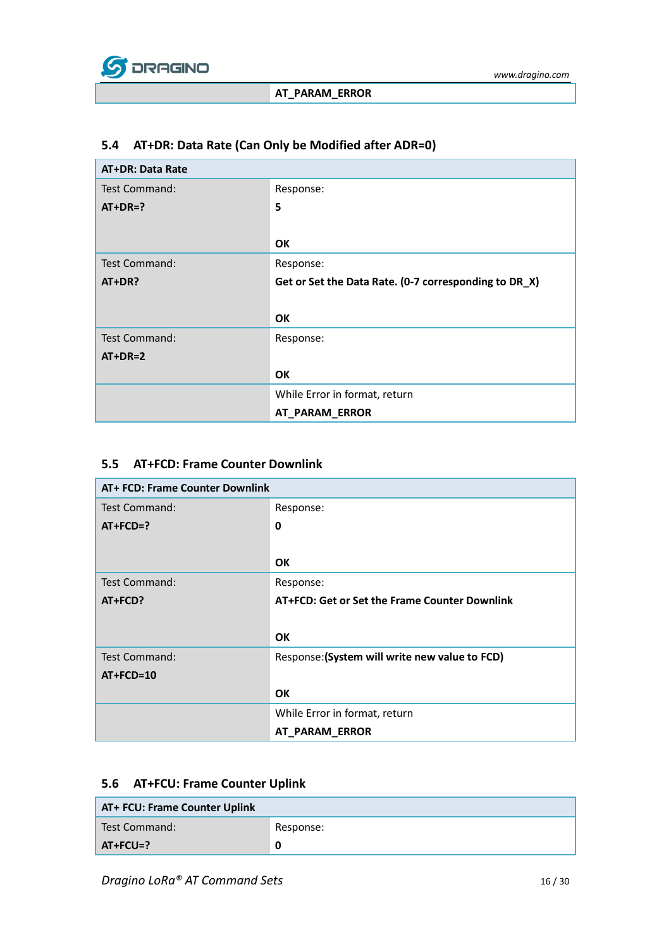

### <span id="page-15-0"></span>**5.4 AT+DR: Data Rate (Can Only be Modified after ADR=0)**

| <b>AT+DR: Data Rate</b> |                                                       |
|-------------------------|-------------------------------------------------------|
| Test Command:           | Response:                                             |
| $AT+DR=?$               | 5                                                     |
|                         |                                                       |
|                         | <b>OK</b>                                             |
| <b>Test Command:</b>    | Response:                                             |
| AT+DR?                  | Get or Set the Data Rate. (0-7 corresponding to DR_X) |
|                         |                                                       |
|                         | <b>OK</b>                                             |
| <b>Test Command:</b>    | Response:                                             |
| $AT+DR=2$               |                                                       |
|                         | <b>OK</b>                                             |
|                         | While Error in format, return                         |
|                         | AT_PARAM_ERROR                                        |

#### <span id="page-15-1"></span>**5.5 AT+FCD: Frame Counter Downlink**

| AT+ FCD: Frame Counter Downlink |                                                |
|---------------------------------|------------------------------------------------|
| Test Command:                   | Response:                                      |
| $AT+FCD=?$                      | $\mathbf 0$                                    |
|                                 |                                                |
|                                 | <b>OK</b>                                      |
| Test Command:                   | Response:                                      |
| AT+FCD?                         | AT+FCD: Get or Set the Frame Counter Downlink  |
|                                 |                                                |
|                                 | <b>OK</b>                                      |
| Test Command:                   | Response: (System will write new value to FCD) |
| AT+FCD=10                       |                                                |
|                                 | <b>OK</b>                                      |
|                                 | While Error in format, return                  |
|                                 | AT_PARAM_ERROR                                 |

### <span id="page-15-2"></span>**5.6 AT+FCU: Frame Counter Uplink**

| AT+ FCU: Frame Counter Uplink |           |
|-------------------------------|-----------|
| Test Command:                 | Response: |
| $AT+FCU=?$                    | 0         |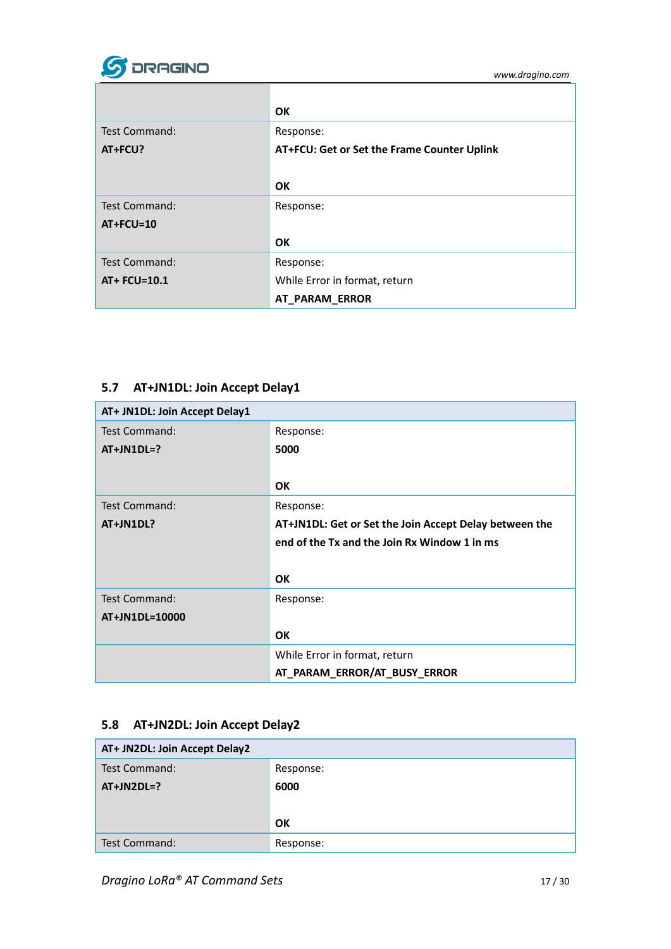

|                      | <b>OK</b>                                   |
|----------------------|---------------------------------------------|
| <b>Test Command:</b> | Response:                                   |
| AT+FCU?              | AT+FCU: Get or Set the Frame Counter Uplink |
|                      |                                             |
|                      | <b>OK</b>                                   |
| Test Command:        | Response:                                   |
| $AT+FCU=10$          |                                             |
|                      | OK                                          |
| <b>Test Command:</b> | Response:                                   |
| AT+ FCU=10.1         | While Error in format, return               |
|                      | AT_PARAM_ERROR                              |

### <span id="page-16-0"></span>**5.7 AT+JN1DL: Join Accept Delay1**

| AT+ JN1DL: Join Accept Delay1 |                                                        |
|-------------------------------|--------------------------------------------------------|
| <b>Test Command:</b>          | Response:                                              |
| $AT+JN1DL=?$                  | 5000                                                   |
|                               |                                                        |
|                               | <b>OK</b>                                              |
| <b>Test Command:</b>          | Response:                                              |
| AT+JN1DL?                     | AT+JN1DL: Get or Set the Join Accept Delay between the |
|                               | end of the Tx and the Join Rx Window 1 in ms           |
|                               |                                                        |
|                               | <b>OK</b>                                              |
| Test Command:                 | Response:                                              |
| AT+JN1DL=10000                |                                                        |
|                               | <b>OK</b>                                              |
|                               | While Error in format, return                          |
|                               | AT_PARAM_ERROR/AT_BUSY_ERROR                           |

# <span id="page-16-1"></span>**5.8 AT+JN2DL: Join Accept Delay2**

| AT+ JN2DL: Join Accept Delay2 |           |
|-------------------------------|-----------|
| Test Command:                 | Response: |
| $AT+JN2DL=?$                  | 6000      |
|                               |           |
|                               | OK        |
| Test Command:                 | Response: |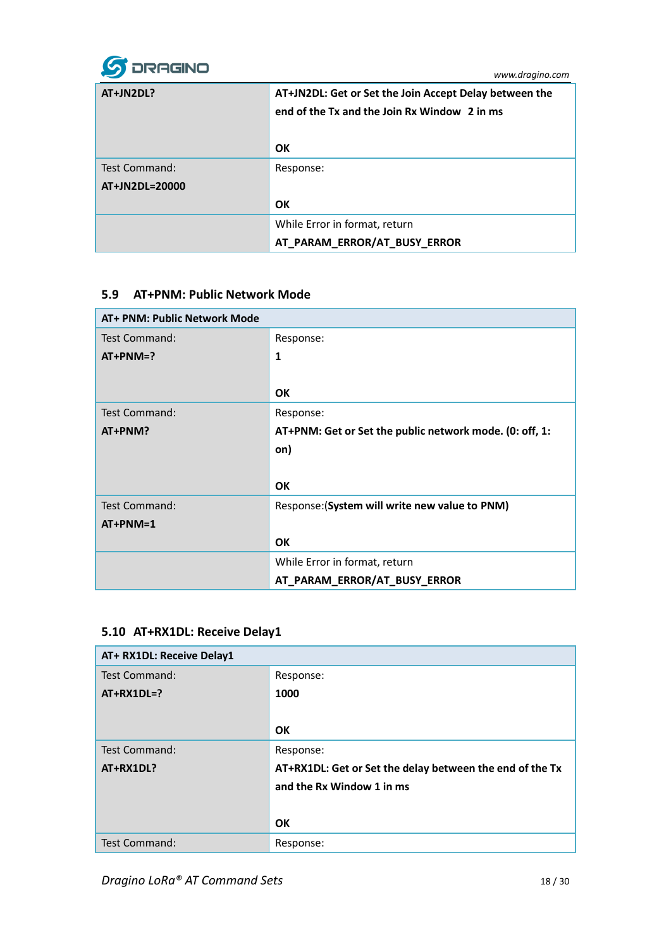

| AT+JN2DL?      | AT+JN2DL: Get or Set the Join Accept Delay between the<br>end of the Tx and the Join Rx Window 2 in ms |
|----------------|--------------------------------------------------------------------------------------------------------|
|                | OK                                                                                                     |
| Test Command:  | Response:                                                                                              |
| AT+JN2DL=20000 |                                                                                                        |
|                | <b>OK</b>                                                                                              |
|                | While Error in format, return                                                                          |
|                | AT_PARAM_ERROR/AT_BUSY_ERROR                                                                           |

### <span id="page-17-0"></span>**5.9 AT+PNM: Public Network Mode**

| AT+ PNM: Public Network Mode |                                                         |
|------------------------------|---------------------------------------------------------|
| Test Command:                | Response:                                               |
| $AT+PMM=?$                   | $\mathbf{1}$                                            |
|                              |                                                         |
|                              | <b>OK</b>                                               |
| <b>Test Command:</b>         | Response:                                               |
| AT+PNM?                      | AT+PNM: Get or Set the public network mode. (0: off, 1: |
|                              | on)                                                     |
|                              |                                                         |
|                              | <b>OK</b>                                               |
| <b>Test Command:</b>         | Response: (System will write new value to PNM)          |
| $AT+PMM=1$                   |                                                         |
|                              | <b>OK</b>                                               |
|                              | While Error in format, return                           |
|                              | AT_PARAM_ERROR/AT_BUSY_ERROR                            |

### <span id="page-17-1"></span>**5.10 AT+RX1DL: Receive Delay1**

| AT+ RX1DL: Receive Delay1 |                                                          |
|---------------------------|----------------------------------------------------------|
| Test Command:             | Response:                                                |
| $AT+RX1DL=?$              | 1000                                                     |
|                           |                                                          |
|                           | OK                                                       |
| <b>Test Command:</b>      | Response:                                                |
| AT+RX1DL?                 | AT+RX1DL: Get or Set the delay between the end of the Tx |
|                           | and the Rx Window 1 in ms                                |
|                           |                                                          |
|                           | OK                                                       |
| <b>Test Command:</b>      | Response:                                                |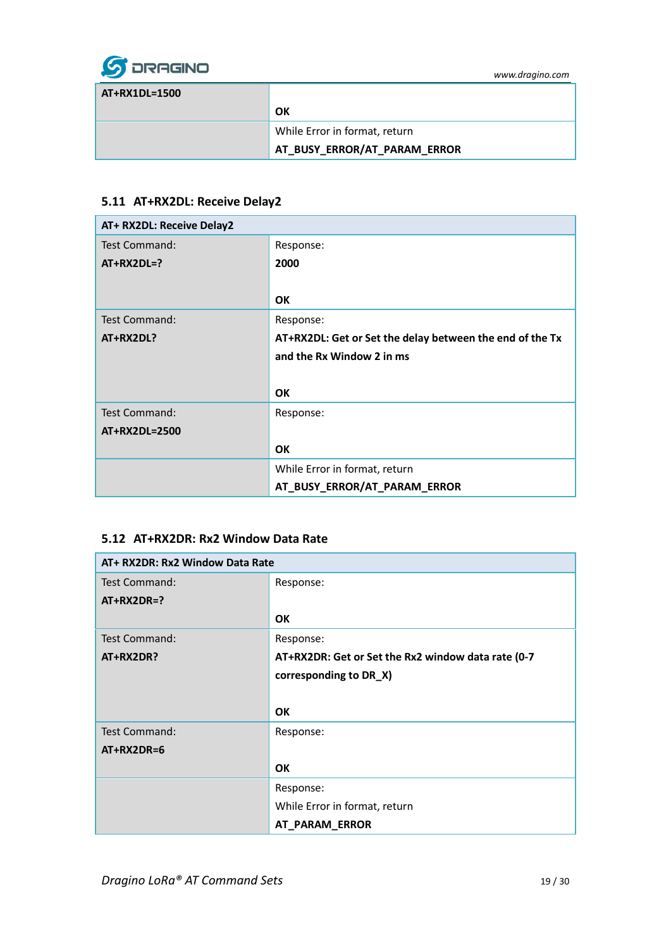

| AT+RX1DL=1500 |                               |
|---------------|-------------------------------|
|               | ΟK                            |
|               | While Error in format, return |
|               | AT_BUSY_ERROR/AT_PARAM_ERROR  |

#### <span id="page-18-0"></span>**5.11 AT+RX2DL: Receive Delay2**

| AT+ RX2DL: Receive Delay2 |                                                          |
|---------------------------|----------------------------------------------------------|
| <b>Test Command:</b>      | Response:                                                |
| $AT+RX2DL=?$              | 2000                                                     |
|                           |                                                          |
|                           | <b>OK</b>                                                |
| <b>Test Command:</b>      | Response:                                                |
| AT+RX2DL?                 | AT+RX2DL: Get or Set the delay between the end of the Tx |
|                           | and the Rx Window 2 in ms                                |
|                           |                                                          |
|                           | <b>OK</b>                                                |
| <b>Test Command:</b>      | Response:                                                |
| AT+RX2DL=2500             |                                                          |
|                           | OK                                                       |
|                           | While Error in format, return                            |
|                           | AT_BUSY_ERROR/AT_PARAM_ERROR                             |

#### <span id="page-18-1"></span>**5.12 AT+RX2DR: Rx2 Window Data Rate**

| AT+ RX2DR: Rx2 Window Data Rate |                                                    |
|---------------------------------|----------------------------------------------------|
| Test Command:                   | Response:                                          |
| $AT+RX2DR=?$                    |                                                    |
|                                 | <b>OK</b>                                          |
| <b>Test Command:</b>            | Response:                                          |
| AT+RX2DR?                       | AT+RX2DR: Get or Set the Rx2 window data rate (0-7 |
|                                 | corresponding to DR_X)                             |
|                                 |                                                    |
|                                 | <b>OK</b>                                          |
| <b>Test Command:</b>            | Response:                                          |
| $AT+RX2DR=6$                    |                                                    |
|                                 | <b>OK</b>                                          |
|                                 | Response:                                          |
|                                 | While Error in format, return                      |
|                                 | AT_PARAM_ERROR                                     |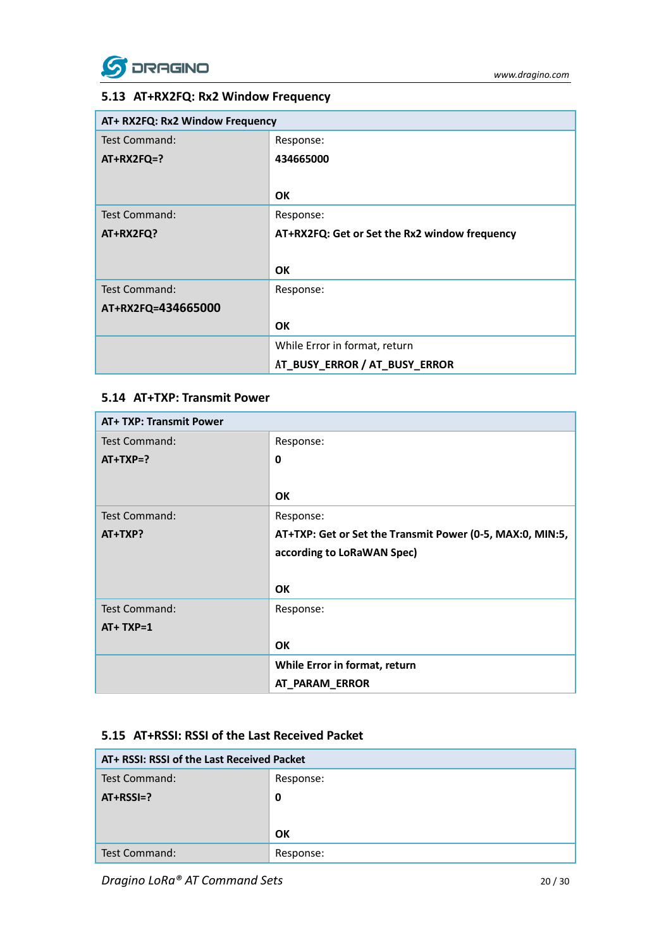

### <span id="page-19-0"></span>**5.13 AT+RX2FQ: Rx2 Window Frequency**

| AT+ RX2FQ: Rx2 Window Frequency |                                               |  |  |  |  |  |
|---------------------------------|-----------------------------------------------|--|--|--|--|--|
| Test Command:                   | Response:                                     |  |  |  |  |  |
| $AT+RX2FQ=?$                    | 434665000                                     |  |  |  |  |  |
|                                 |                                               |  |  |  |  |  |
|                                 | <b>OK</b>                                     |  |  |  |  |  |
| Test Command:                   | Response:                                     |  |  |  |  |  |
| AT+RX2FQ?                       | AT+RX2FQ: Get or Set the Rx2 window frequency |  |  |  |  |  |
|                                 |                                               |  |  |  |  |  |
|                                 | <b>OK</b>                                     |  |  |  |  |  |
| <b>Test Command:</b>            | Response:                                     |  |  |  |  |  |
| AT+RX2FQ=434665000              |                                               |  |  |  |  |  |
|                                 | <b>OK</b>                                     |  |  |  |  |  |
|                                 | While Error in format, return                 |  |  |  |  |  |
|                                 | AT_BUSY_ERROR / AT_BUSY_ERROR                 |  |  |  |  |  |

#### <span id="page-19-1"></span>**5.14 AT+TXP: Transmit Power**

| <b>AT+ TXP: Transmit Power</b> |                                                           |
|--------------------------------|-----------------------------------------------------------|
| Test Command:                  | Response:                                                 |
| $AT+TXP=?$                     | $\mathbf 0$                                               |
|                                |                                                           |
|                                | OK                                                        |
| <b>Test Command:</b>           | Response:                                                 |
| $AT+TXP?$                      | AT+TXP: Get or Set the Transmit Power (0-5, MAX:0, MIN:5, |
|                                | according to LoRaWAN Spec)                                |
|                                |                                                           |
|                                | <b>OK</b>                                                 |
| <b>Test Command:</b>           | Response:                                                 |
| $AT+TXP=1$                     |                                                           |
|                                | <b>OK</b>                                                 |
|                                | While Error in format, return                             |
|                                | AT PARAM ERROR                                            |

### <span id="page-19-2"></span>**5.15 AT+RSSI: RSSI of the Last Received Packet**

| AT+ RSSI: RSSI of the Last Received Packet |           |  |  |  |
|--------------------------------------------|-----------|--|--|--|
| Test Command:                              | Response: |  |  |  |
| $AT+RSSI=?$                                | 0         |  |  |  |
|                                            |           |  |  |  |
|                                            | OK        |  |  |  |
| Test Command:                              | Response: |  |  |  |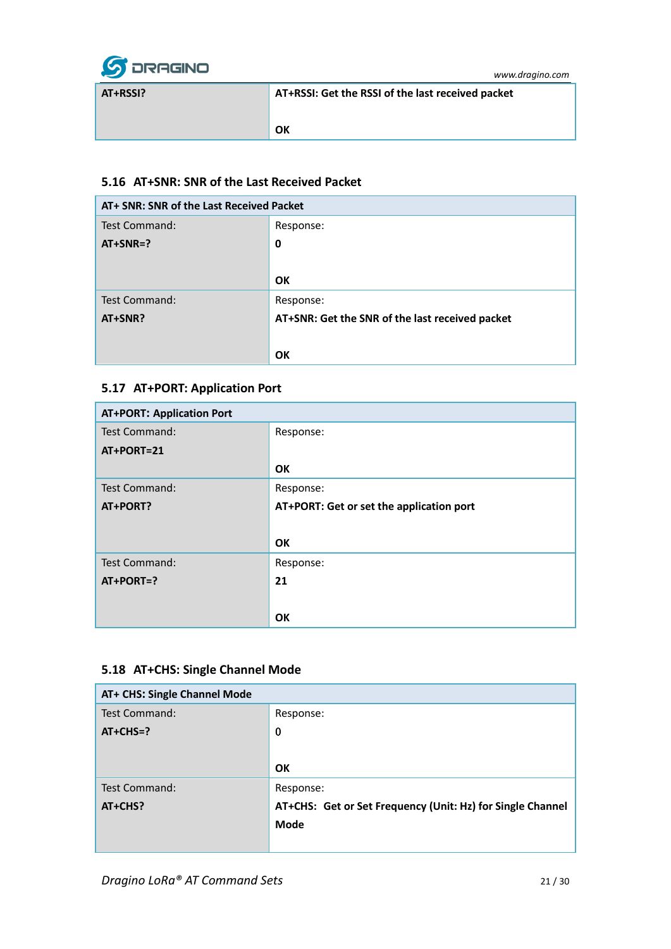

**AT+RSSI? AT+RSSI: Get the RSSI of the last received packet OK**

### <span id="page-20-0"></span>**5.16 AT+SNR: SNR of the Last Received Packet**

| AT+ SNR: SNR of the Last Received Packet |                                                 |  |  |  |
|------------------------------------------|-------------------------------------------------|--|--|--|
| <b>Test Command:</b>                     | Response:                                       |  |  |  |
| $AT+SNR=?$                               | 0                                               |  |  |  |
|                                          |                                                 |  |  |  |
|                                          | OK                                              |  |  |  |
| <b>Test Command:</b>                     | Response:                                       |  |  |  |
| AT+SNR?                                  | AT+SNR: Get the SNR of the last received packet |  |  |  |
|                                          |                                                 |  |  |  |
|                                          | OK                                              |  |  |  |

### <span id="page-20-1"></span>**5.17 AT+PORT: Application Port**

| <b>AT+PORT: Application Port</b> |                                          |
|----------------------------------|------------------------------------------|
| <b>Test Command:</b>             | Response:                                |
| AT+PORT=21                       |                                          |
|                                  | OK                                       |
| Test Command:                    | Response:                                |
| AT+PORT?                         | AT+PORT: Get or set the application port |
|                                  |                                          |
|                                  | <b>OK</b>                                |
| <b>Test Command:</b>             | Response:                                |
| AT+PORT=?                        | 21                                       |
|                                  |                                          |
|                                  | <b>OK</b>                                |

### <span id="page-20-2"></span>**5.18 AT+CHS: Single Channel Mode**

| AT+ CHS: Single Channel Mode |                                                            |
|------------------------------|------------------------------------------------------------|
| <b>Test Command:</b>         | Response:                                                  |
| $AT+CHS=?$                   | $\boldsymbol{0}$                                           |
|                              |                                                            |
|                              | OK                                                         |
| Test Command:                | Response:                                                  |
| AT+CHS?                      | AT+CHS: Get or Set Frequency (Unit: Hz) for Single Channel |
|                              | Mode                                                       |
|                              |                                                            |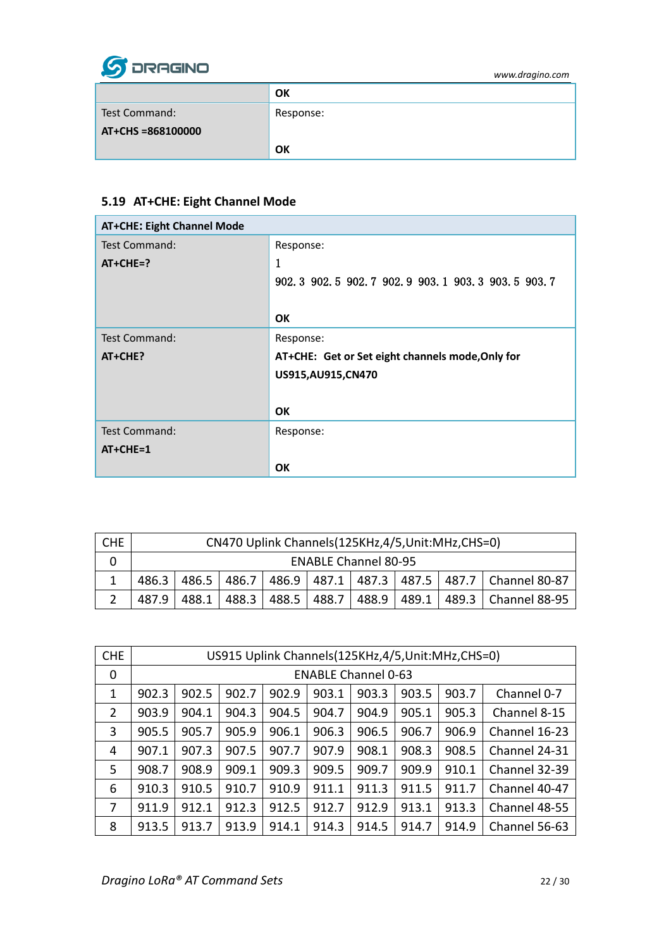

|                   | OK        |
|-------------------|-----------|
| Test Command:     | Response: |
| AT+CHS =868100000 |           |
|                   | OK        |

### <span id="page-21-0"></span>**5.19 AT+CHE: Eight Channel Mode**

| <b>AT+CHE: Eight Channel Mode</b> |                                                  |
|-----------------------------------|--------------------------------------------------|
| Test Command:                     | Response:                                        |
| $AT+CHE=?$                        | 1                                                |
|                                   | 902.3 902.5 902.7 902.9 903.1 903.3 903.5 903.7  |
|                                   |                                                  |
|                                   | <b>OK</b>                                        |
| <b>Test Command:</b>              | Response:                                        |
| AT+CHE?                           | AT+CHE: Get or Set eight channels mode, Only for |
|                                   | US915,AU915,CN470                                |
|                                   |                                                  |
|                                   | <b>OK</b>                                        |
| <b>Test Command:</b>              | Response:                                        |
| $AT+CHE=1$                        |                                                  |
|                                   | <b>OK</b>                                        |

| <b>CHE</b> | CN470 Uplink Channels (125KHz, 4/5, Unit: MHz, CHS=0)                          |       |       |  |             |  |  |  |                                       |
|------------|--------------------------------------------------------------------------------|-------|-------|--|-------------|--|--|--|---------------------------------------|
|            | <b>ENABLE Channel 80-95</b>                                                    |       |       |  |             |  |  |  |                                       |
|            | 486.5   486.7   486.9   487.1   487.3   487.5   487.7   Channel 80-87<br>486.3 |       |       |  |             |  |  |  |                                       |
|            | 487.9                                                                          | 488.1 | 488.3 |  | 488.5 488.7 |  |  |  | 488.9   489.1   489.3   Channel 88-95 |

| <b>CHE</b> | US915 Uplink Channels(125KHz,4/5, Unit: MHz, CHS=0) |       |       |       |       |       |       |       |               |
|------------|-----------------------------------------------------|-------|-------|-------|-------|-------|-------|-------|---------------|
| 0          | <b>ENABLE Channel 0-63</b>                          |       |       |       |       |       |       |       |               |
| 1          | 902.3                                               | 902.5 | 902.7 | 902.9 | 903.1 | 903.3 | 903.5 | 903.7 | Channel 0-7   |
| 2          | 903.9                                               | 904.1 | 904.3 | 904.5 | 904.7 | 904.9 | 905.1 | 905.3 | Channel 8-15  |
| 3          | 905.5                                               | 905.7 | 905.9 | 906.1 | 906.3 | 906.5 | 906.7 | 906.9 | Channel 16-23 |
| 4          | 907.1                                               | 907.3 | 907.5 | 907.7 | 907.9 | 908.1 | 908.3 | 908.5 | Channel 24-31 |
| 5          | 908.7                                               | 908.9 | 909.1 | 909.3 | 909.5 | 909.7 | 909.9 | 910.1 | Channel 32-39 |
| 6          | 910.3                                               | 910.5 | 910.7 | 910.9 | 911.1 | 911.3 | 911.5 | 911.7 | Channel 40-47 |
| 7          | 911.9                                               | 912.1 | 912.3 | 912.5 | 912.7 | 912.9 | 913.1 | 913.3 | Channel 48-55 |
| 8          | 913.5                                               | 913.7 | 913.9 | 914.1 | 914.3 | 914.5 | 914.7 | 914.9 | Channel 56-63 |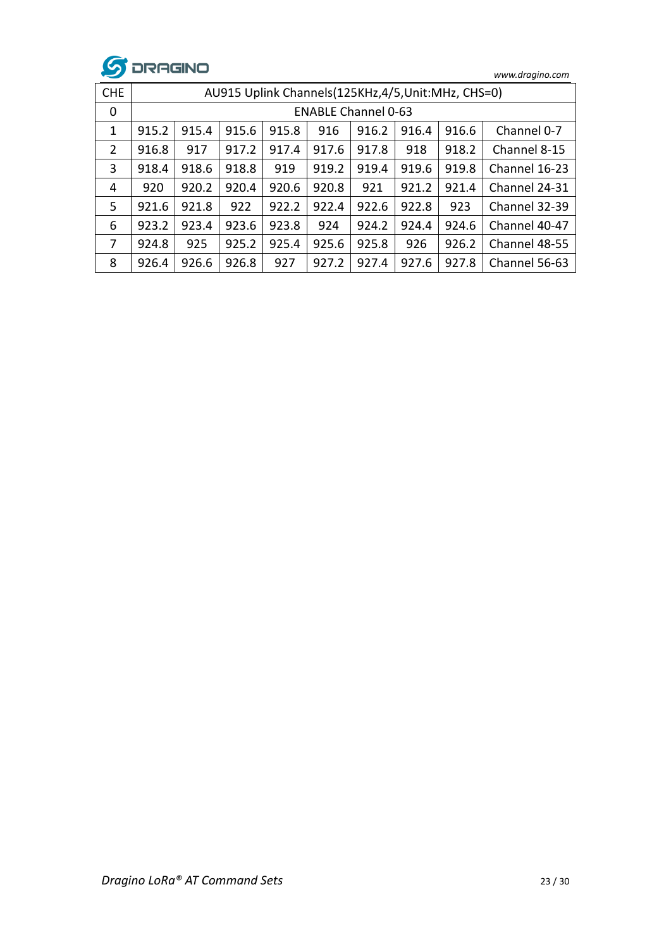

| <b>CHE</b>     | AU915 Uplink Channels(125KHz,4/5, Unit: MHz, CHS=0) |       |       |       |       |       |       |       |               |
|----------------|-----------------------------------------------------|-------|-------|-------|-------|-------|-------|-------|---------------|
| 0              | <b>ENABLE Channel 0-63</b>                          |       |       |       |       |       |       |       |               |
| 1              | 915.2                                               | 915.4 | 915.6 | 915.8 | 916   | 916.2 | 916.4 | 916.6 | Channel 0-7   |
| $\overline{2}$ | 916.8                                               | 917   | 917.2 | 917.4 | 917.6 | 917.8 | 918   | 918.2 | Channel 8-15  |
| 3              | 918.4                                               | 918.6 | 918.8 | 919   | 919.2 | 919.4 | 919.6 | 919.8 | Channel 16-23 |
| 4              | 920                                                 | 920.2 | 920.4 | 920.6 | 920.8 | 921   | 921.2 | 921.4 | Channel 24-31 |
| 5.             | 921.6                                               | 921.8 | 922   | 922.2 | 922.4 | 922.6 | 922.8 | 923   | Channel 32-39 |
| 6              | 923.2                                               | 923.4 | 923.6 | 923.8 | 924   | 924.2 | 924.4 | 924.6 | Channel 40-47 |
| 7              | 924.8                                               | 925   | 925.2 | 925.4 | 925.6 | 925.8 | 926   | 926.2 | Channel 48-55 |
| 8              | 926.4                                               | 926.6 | 926.8 | 927   | 927.2 | 927.4 | 927.6 | 927.8 | Channel 56-63 |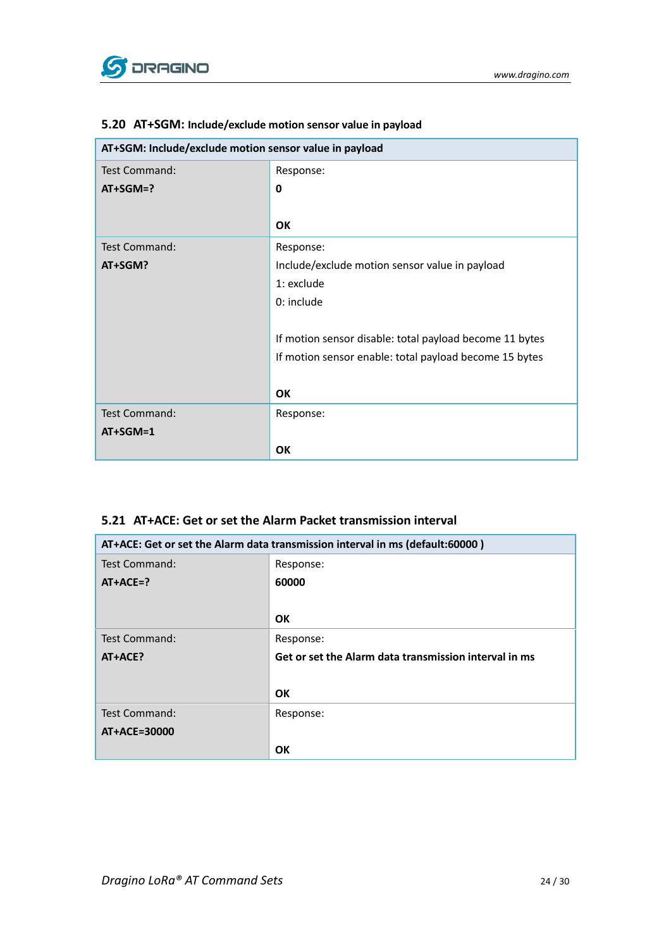

| AT+SGM: Include/exclude motion sensor value in payload |                                                         |
|--------------------------------------------------------|---------------------------------------------------------|
| <b>Test Command:</b>                                   | Response:                                               |
| $AT+SGM=?$                                             | 0                                                       |
|                                                        |                                                         |
|                                                        | OK                                                      |
| <b>Test Command:</b>                                   | Response:                                               |
| AT+SGM?                                                | Include/exclude motion sensor value in payload          |
|                                                        | 1: exclude                                              |
|                                                        | 0: include                                              |
|                                                        |                                                         |
|                                                        | If motion sensor disable: total payload become 11 bytes |
|                                                        | If motion sensor enable: total payload become 15 bytes  |
|                                                        |                                                         |
|                                                        | <b>OK</b>                                               |
| <b>Test Command:</b>                                   | Response:                                               |
| AT+SGM=1                                               |                                                         |
|                                                        | OK                                                      |

#### <span id="page-23-0"></span>**5.20 AT+SGM: Include/exclude motion sensor value in payload**

#### <span id="page-23-1"></span>**5.21 AT+ACE: Get or set the Alarm Packet transmission interval**

| AT+ACE: Get or set the Alarm data transmission interval in ms (default:60000) |                                                       |
|-------------------------------------------------------------------------------|-------------------------------------------------------|
| Test Command:                                                                 | Response:                                             |
| $AT+ACE=?$                                                                    | 60000                                                 |
|                                                                               |                                                       |
|                                                                               | OK                                                    |
| Test Command:                                                                 | Response:                                             |
| AT+ACE?                                                                       | Get or set the Alarm data transmission interval in ms |
|                                                                               |                                                       |
|                                                                               | OK                                                    |
| Test Command:                                                                 | Response:                                             |
| AT+ACE=30000                                                                  |                                                       |
|                                                                               | <b>OK</b>                                             |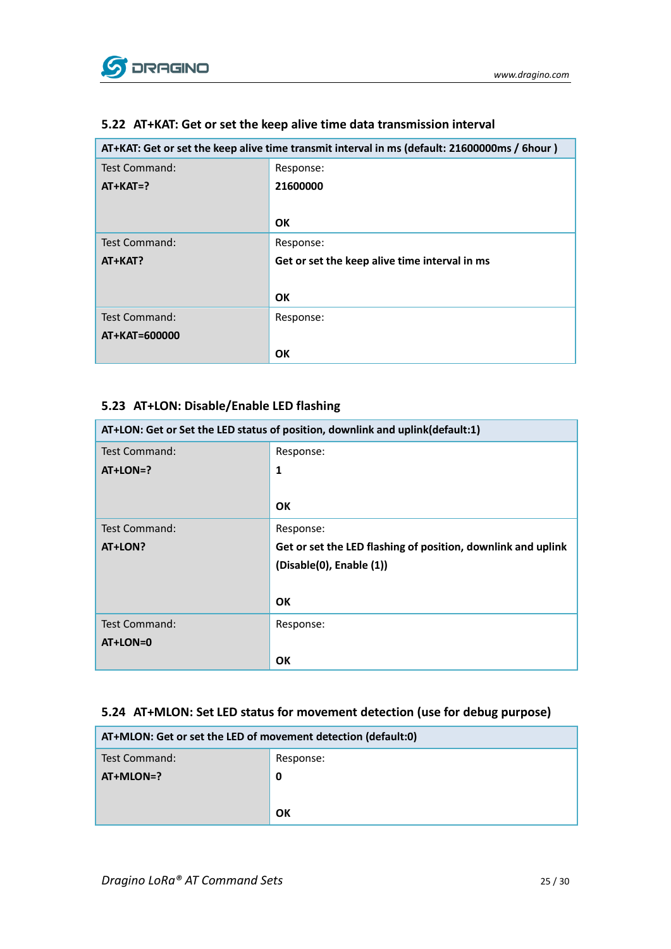

| AT+KAT: Get or set the keep alive time transmit interval in ms (default: 21600000ms / 6hour) |                                               |
|----------------------------------------------------------------------------------------------|-----------------------------------------------|
| Test Command:                                                                                | Response:                                     |
| $AT+KAT=?$                                                                                   | 21600000                                      |
|                                                                                              |                                               |
|                                                                                              | <b>OK</b>                                     |
| Test Command:                                                                                | Response:                                     |
| AT+KAT?                                                                                      | Get or set the keep alive time interval in ms |
|                                                                                              |                                               |
|                                                                                              | OK                                            |
| Test Command:                                                                                | Response:                                     |
| AT+KAT=600000                                                                                |                                               |
|                                                                                              | <b>OK</b>                                     |

### <span id="page-24-0"></span>**5.22 AT+KAT: Get or set the keep alive time data transmission interval**

#### <span id="page-24-1"></span>**5.23 AT+LON: Disable/Enable LED flashing**

| AT+LON: Get or Set the LED status of position, downlink and uplink(default:1) |                                                              |
|-------------------------------------------------------------------------------|--------------------------------------------------------------|
| <b>Test Command:</b>                                                          | Response:                                                    |
| $AT+LON=?$                                                                    | $\mathbf{1}$                                                 |
|                                                                               |                                                              |
|                                                                               | <b>OK</b>                                                    |
| <b>Test Command:</b>                                                          | Response:                                                    |
| AT+LON?                                                                       | Get or set the LED flashing of position, downlink and uplink |
|                                                                               | (Disable(0), Enable (1))                                     |
|                                                                               |                                                              |
|                                                                               | OK                                                           |
| <b>Test Command:</b>                                                          | Response:                                                    |
| AT+LON=0                                                                      |                                                              |
|                                                                               | OK                                                           |

#### <span id="page-24-2"></span>**5.24 AT+MLON: Set LED status for movement detection (use for debug purpose)**

| AT+MLON: Get or set the LED of movement detection (default:0) |           |
|---------------------------------------------------------------|-----------|
| Test Command:                                                 | Response: |
| AT+MLON=?                                                     | 0         |
|                                                               |           |
|                                                               | ΟK        |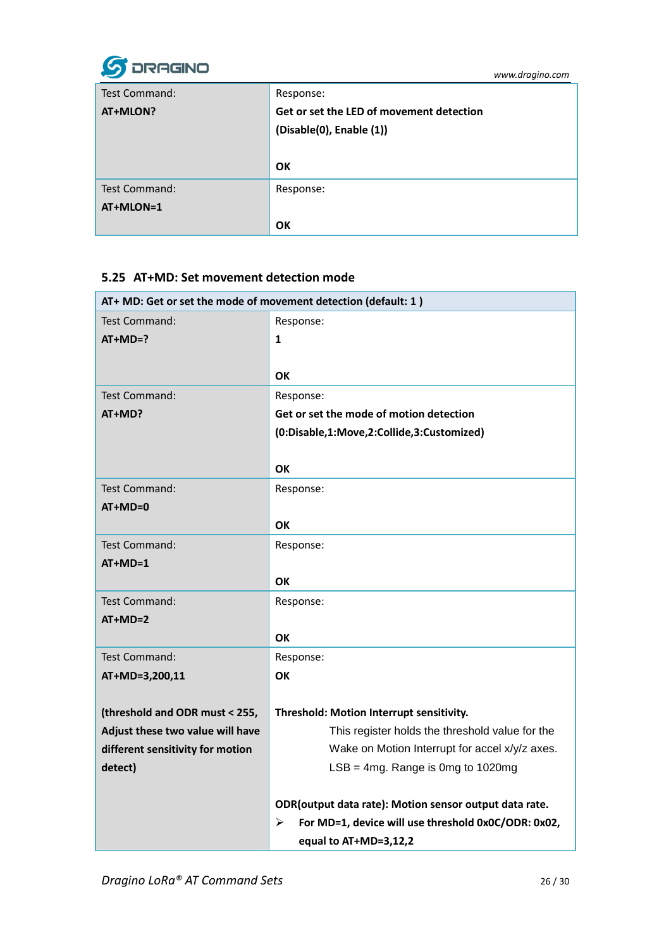

| Test Command: | Response:                                |
|---------------|------------------------------------------|
| AT+MLON?      | Get or set the LED of movement detection |
|               | (Disable(0), Enable (1))                 |
|               |                                          |
|               |                                          |
|               | OK                                       |
| Test Command: | Response:                                |
| AT+MLON=1     |                                          |

#### <span id="page-25-0"></span>**5.25 AT+MD: Set movement detection mode**

| AT+ MD: Get or set the mode of movement detection (default: 1) |                                                          |
|----------------------------------------------------------------|----------------------------------------------------------|
| Test Command:                                                  | Response:                                                |
| $AT+MD=?$                                                      | 1                                                        |
|                                                                |                                                          |
|                                                                | OK                                                       |
| <b>Test Command:</b>                                           | Response:                                                |
| AT+MD?                                                         | Get or set the mode of motion detection                  |
|                                                                | (0:Disable,1:Move,2:Collide,3:Customized)                |
|                                                                |                                                          |
|                                                                | ΟK                                                       |
| <b>Test Command:</b>                                           | Response:                                                |
| $AT+MD=0$                                                      |                                                          |
|                                                                | <b>OK</b>                                                |
| <b>Test Command:</b>                                           | Response:                                                |
| $AT+MD=1$                                                      |                                                          |
|                                                                | ΟK                                                       |
| Test Command:                                                  | Response:                                                |
| $AT+MD=2$                                                      |                                                          |
|                                                                | ΟK                                                       |
| Test Command:                                                  | Response:                                                |
| AT+MD=3,200,11                                                 | OK                                                       |
|                                                                |                                                          |
| (threshold and ODR must < 255,                                 | Threshold: Motion Interrupt sensitivity.                 |
| Adjust these two value will have                               | This register holds the threshold value for the          |
| different sensitivity for motion                               | Wake on Motion Interrupt for accel x/y/z axes.           |
| detect)                                                        | $LSB = 4mg$ . Range is 0mg to 1020mg                     |
|                                                                | ODR (output data rate): Motion sensor output data rate.  |
|                                                                | For MD=1, device will use threshold 0x0C/ODR: 0x02,<br>➤ |
|                                                                | equal to AT+MD=3,12,2                                    |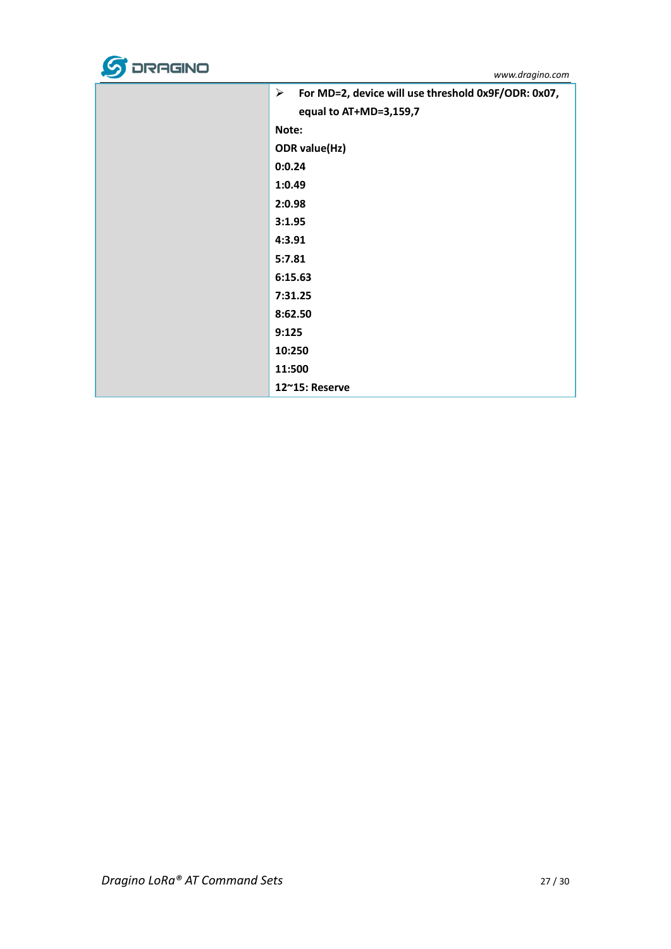

| ➤ | For MD=2, device will use threshold 0x9F/ODR: 0x07,<br>equal to AT+MD=3,159,7 |
|---|-------------------------------------------------------------------------------|
|   | Note:                                                                         |
|   | <b>ODR</b> value(Hz)                                                          |
|   | 0:0.24                                                                        |
|   | 1:0.49                                                                        |
|   | 2:0.98                                                                        |
|   | 3:1.95                                                                        |
|   | 4:3.91                                                                        |
|   | 5:7.81                                                                        |
|   | 6:15.63                                                                       |
|   | 7:31.25                                                                       |
|   | 8:62.50                                                                       |
|   | 9:125                                                                         |
|   | 10:250                                                                        |
|   | 11:500                                                                        |
|   | 12~15: Reserve                                                                |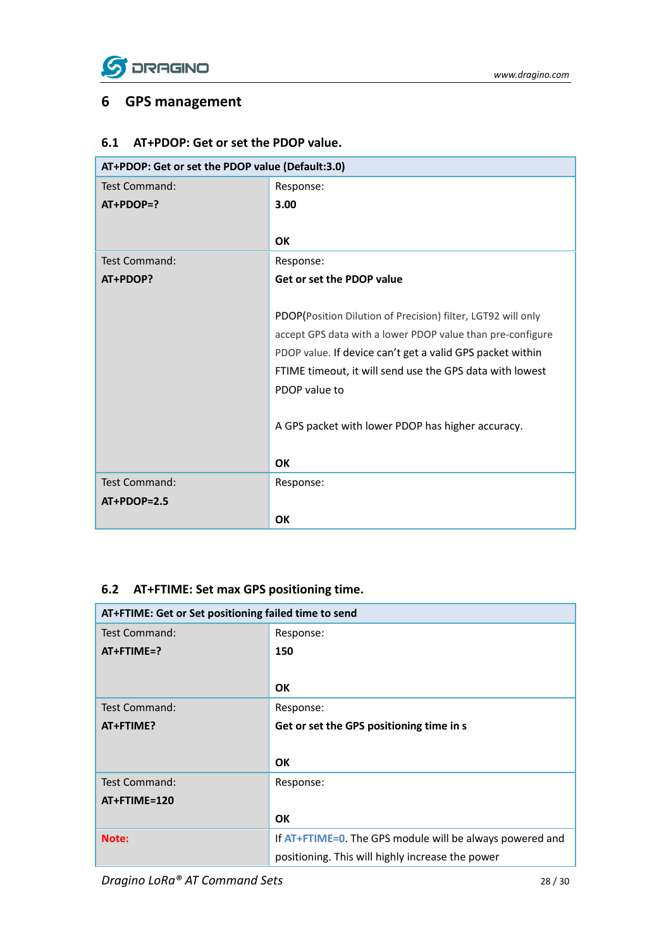

### <span id="page-27-0"></span>**6 GPS management**

### <span id="page-27-1"></span>**6.1 AT+PDOP: Get or set the PDOP value.**

| AT+PDOP: Get or set the PDOP value (Default:3.0) |                                                              |
|--------------------------------------------------|--------------------------------------------------------------|
| <b>Test Command:</b>                             | Response:                                                    |
| $AT+PDOP=?$                                      | 3.00                                                         |
|                                                  |                                                              |
|                                                  | <b>OK</b>                                                    |
| <b>Test Command:</b>                             | Response:                                                    |
| AT+PDOP?                                         | Get or set the PDOP value                                    |
|                                                  |                                                              |
|                                                  | PDOP(Position Dilution of Precision) filter, LGT92 will only |
|                                                  | accept GPS data with a lower PDOP value than pre-configure   |
|                                                  | PDOP value. If device can't get a valid GPS packet within    |
|                                                  | FTIME timeout, it will send use the GPS data with lowest     |
|                                                  | PDOP value to                                                |
|                                                  |                                                              |
|                                                  | A GPS packet with lower PDOP has higher accuracy.            |
|                                                  |                                                              |
|                                                  | OK                                                           |
| <b>Test Command:</b>                             | Response:                                                    |
| $AT+PDOP=2.5$                                    |                                                              |
|                                                  | <b>OK</b>                                                    |

### <span id="page-27-2"></span>**6.2 AT+FTIME: Set max GPS positioning time.**

| AT+FTIME: Get or Set positioning failed time to send |                                                          |
|------------------------------------------------------|----------------------------------------------------------|
| Test Command:                                        | Response:                                                |
| $AT+FTIME=?$                                         | 150                                                      |
|                                                      |                                                          |
|                                                      | <b>OK</b>                                                |
| Test Command:                                        | Response:                                                |
| AT+FTIME?                                            | Get or set the GPS positioning time in s                 |
|                                                      |                                                          |
|                                                      | <b>OK</b>                                                |
| <b>Test Command:</b>                                 | Response:                                                |
| AT+FTIME=120                                         |                                                          |
|                                                      | OK                                                       |
| Note:                                                | If AT+FTIME=0. The GPS module will be always powered and |
|                                                      | positioning. This will highly increase the power         |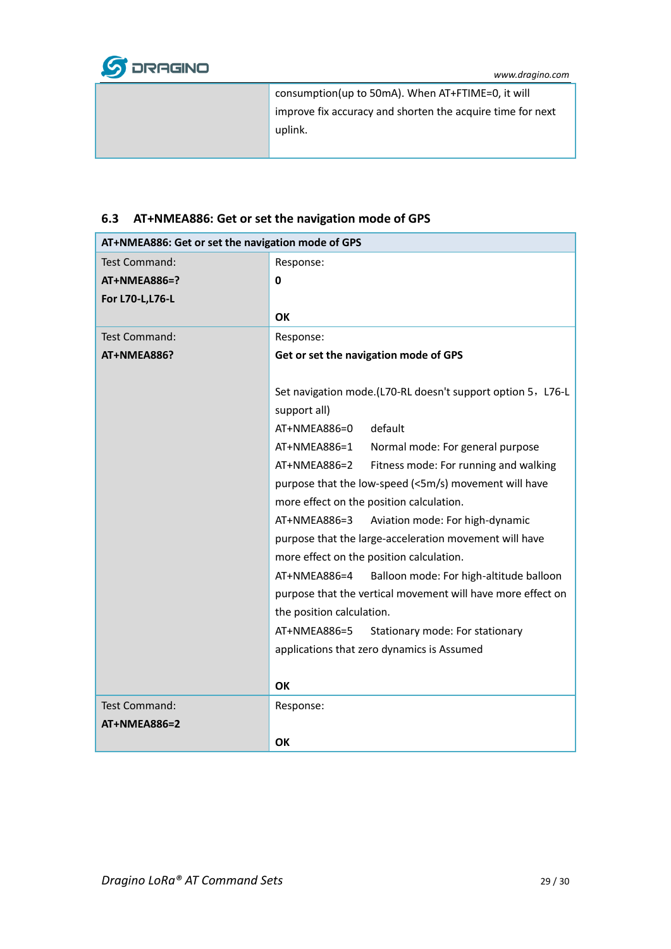

| consumption(up to 50mA). When AT+FTIME=0, it will          |
|------------------------------------------------------------|
| improve fix accuracy and shorten the acquire time for next |
| uplink.                                                    |
|                                                            |

# <span id="page-28-0"></span>**6.3 AT+NMEA886: Get or set the navigation mode of GPS**

| AT+NMEA886: Get or set the navigation mode of GPS |                                                             |
|---------------------------------------------------|-------------------------------------------------------------|
| <b>Test Command:</b>                              | Response:                                                   |
| AT+NMEA886=?                                      | 0                                                           |
| For L70-L, L76-L                                  |                                                             |
|                                                   | OK                                                          |
| <b>Test Command:</b>                              | Response:                                                   |
| AT+NMEA886?                                       | Get or set the navigation mode of GPS                       |
|                                                   |                                                             |
|                                                   | Set navigation mode.(L70-RL doesn't support option 5, L76-L |
|                                                   | support all)                                                |
|                                                   | default<br>AT+NMEA886=0                                     |
|                                                   | AT+NMEA886=1<br>Normal mode: For general purpose            |
|                                                   | AT+NMEA886=2<br>Fitness mode: For running and walking       |
|                                                   | purpose that the low-speed (<5m/s) movement will have       |
|                                                   | more effect on the position calculation.                    |
|                                                   | $AT+NMEA886=3$<br>Aviation mode: For high-dynamic           |
|                                                   | purpose that the large-acceleration movement will have      |
|                                                   | more effect on the position calculation.                    |
|                                                   | AT+NMEA886=4<br>Balloon mode: For high-altitude balloon     |
|                                                   | purpose that the vertical movement will have more effect on |
|                                                   | the position calculation.                                   |
|                                                   | AT+NMEA886=5<br>Stationary mode: For stationary             |
|                                                   | applications that zero dynamics is Assumed                  |
|                                                   |                                                             |
|                                                   | OK                                                          |
| <b>Test Command:</b>                              | Response:                                                   |
| <b>AT+NMEA886=2</b>                               |                                                             |
|                                                   | ΟK                                                          |